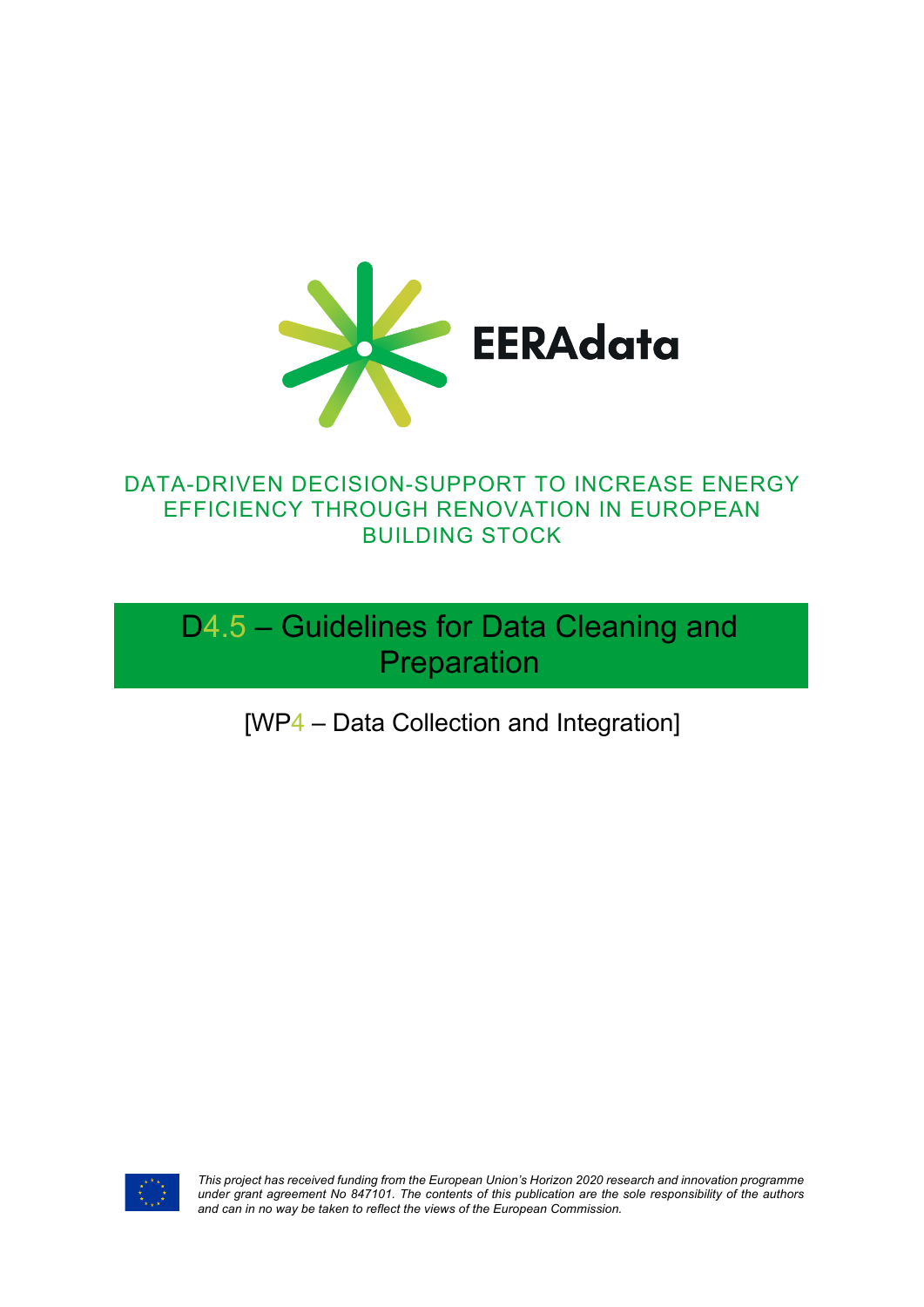

## DATA-DRIVEN DECISION-SUPPORT TO INCREASE ENERGY EFFICIENCY THROUGH RENOVATION IN EUROPEAN BUILDING STOCK

D4.5 – Guidelines for Data Cleaning and Preparation

[WP4 – Data Collection and Integration]



*This project has received funding from the European Union's Horizon 2020 research and innovation programme under grant agreement No 847101. The contents of this publication are the sole responsibility of the authors and can in no way be taken to reflect the views of the European Commission.*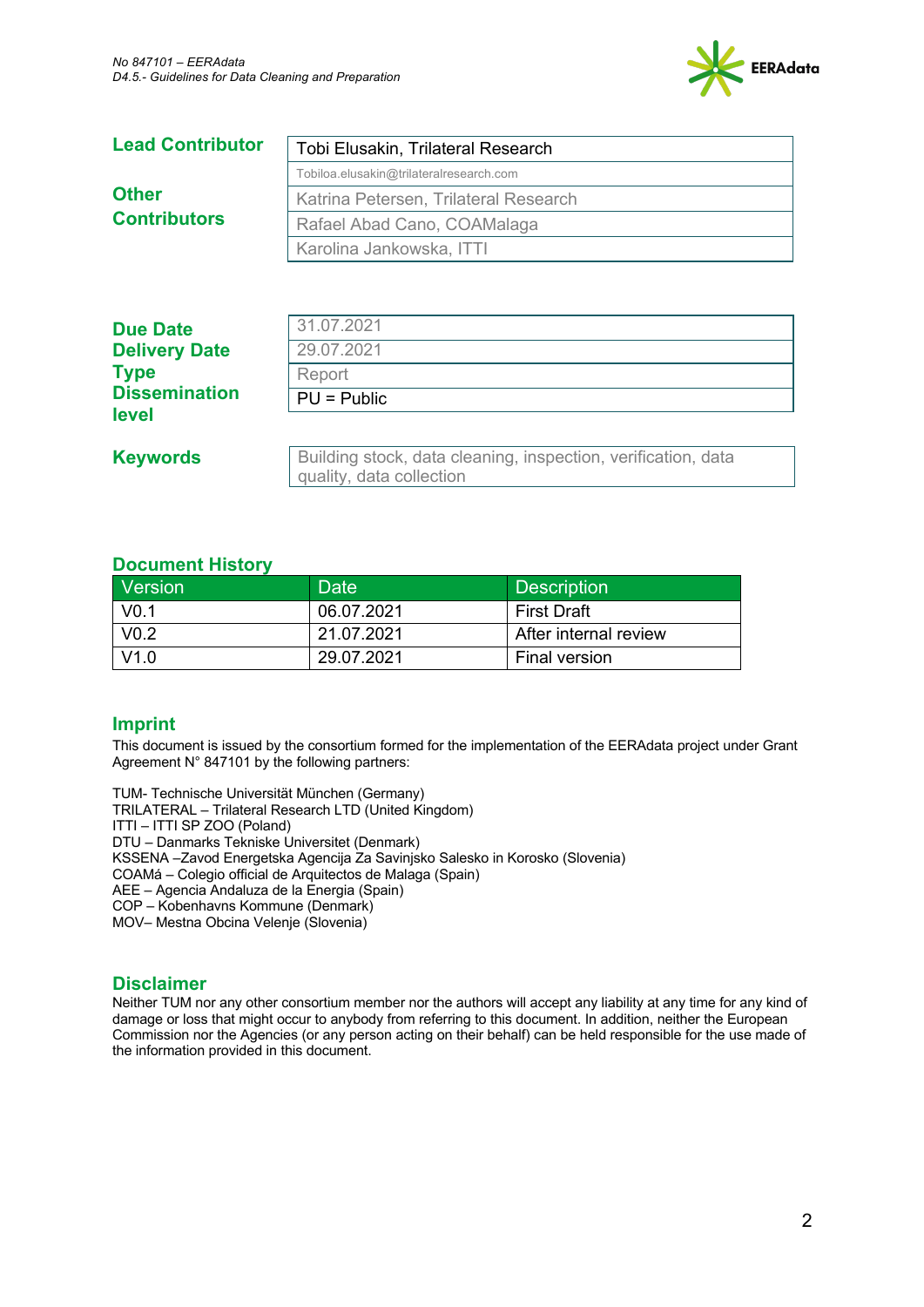

| <b>Lead Contributor</b>             | Tobi Elusakin, Trilateral Research      |
|-------------------------------------|-----------------------------------------|
| <b>Other</b><br><b>Contributors</b> | Tobiloa.elusakin@trilateralresearch.com |
|                                     | Katrina Petersen, Trilateral Research   |
|                                     | Rafael Abad Cano, COAMalaga             |
|                                     | Karolina Jankowska, ITTI                |
|                                     |                                         |

| <b>Due Date</b>      | 31.07.2021                                                                                |
|----------------------|-------------------------------------------------------------------------------------------|
| <b>Delivery Date</b> | 29.07.2021                                                                                |
| <b>Type</b>          | Report                                                                                    |
| <b>Dissemination</b> | $PU = Public$                                                                             |
| level                |                                                                                           |
| <b>Keywords</b>      | Building stock, data cleaning, inspection, verification, data<br>quality, data collection |

#### **Document History**

| Version          | Date       | <b>Description</b>      |
|------------------|------------|-------------------------|
| V <sub>0.1</sub> | 06.07.2021 | <b>First Draft</b>      |
| V <sub>0.2</sub> | 21.07.2021 | l After internal review |
| V1.0             | 29.07.2021 | Final version           |

#### **Imprint**

This document is issued by the consortium formed for the implementation of the EERAdata project under Grant Agreement N° 847101 by the following partners:

TUM- Technische Universität München (Germany)

TRILATERAL – Trilateral Research LTD (United Kingdom)

ITTI – ITTI SP ZOO (Poland)

DTU – Danmarks Tekniske Universitet (Denmark)

KSSENA –Zavod Energetska Agencija Za Savinjsko Salesko in Korosko (Slovenia)

COAMá – Colegio official de Arquitectos de Malaga (Spain)

AEE – Agencia Andaluza de la Energia (Spain)

COP – Kobenhavns Kommune (Denmark)

MOV– Mestna Obcina Velenje (Slovenia)

#### **Disclaimer**

Neither TUM nor any other consortium member nor the authors will accept any liability at any time for any kind of damage or loss that might occur to anybody from referring to this document. In addition, neither the European Commission nor the Agencies (or any person acting on their behalf) can be held responsible for the use made of the information provided in this document.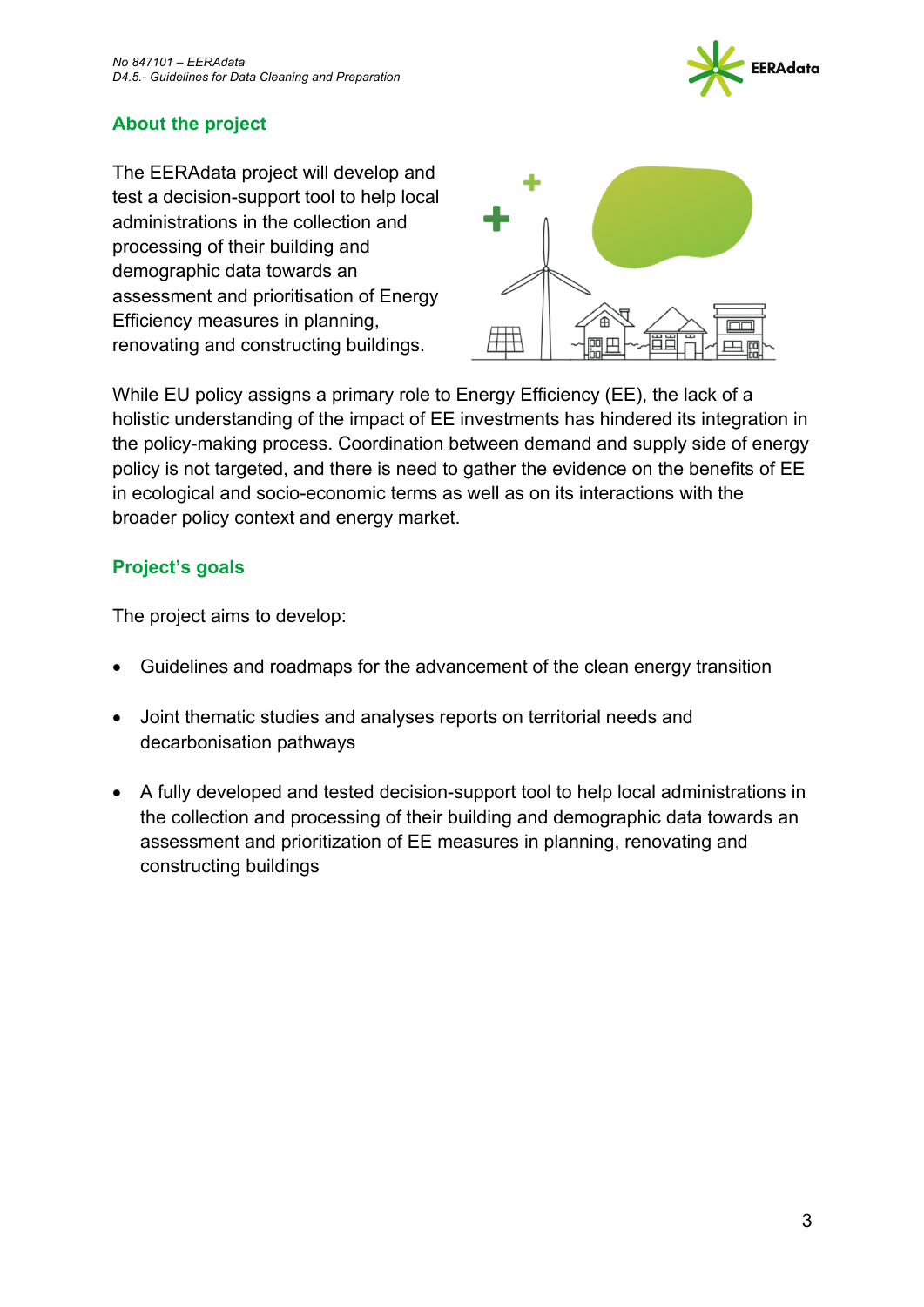

### **About the project**

The EERAdata project will develop and test a decision-support tool to help local administrations in the collection and processing of their building and demographic data towards an assessment and prioritisation of Energy Efficiency measures in planning, renovating and constructing buildings.



While EU policy assigns a primary role to Energy Efficiency (EE), the lack of a holistic understanding of the impact of EE investments has hindered its integration in the policy-making process. Coordination between demand and supply side of energy policy is not targeted, and there is need to gather the evidence on the benefits of EE in ecological and socio-economic terms as well as on its interactions with the broader policy context and energy market.

#### **Project's goals**

The project aims to develop:

- Guidelines and roadmaps for the advancement of the clean energy transition
- Joint thematic studies and analyses reports on territorial needs and decarbonisation pathways
- A fully developed and tested decision-support tool to help local administrations in the collection and processing of their building and demographic data towards an assessment and prioritization of EE measures in planning, renovating and constructing buildings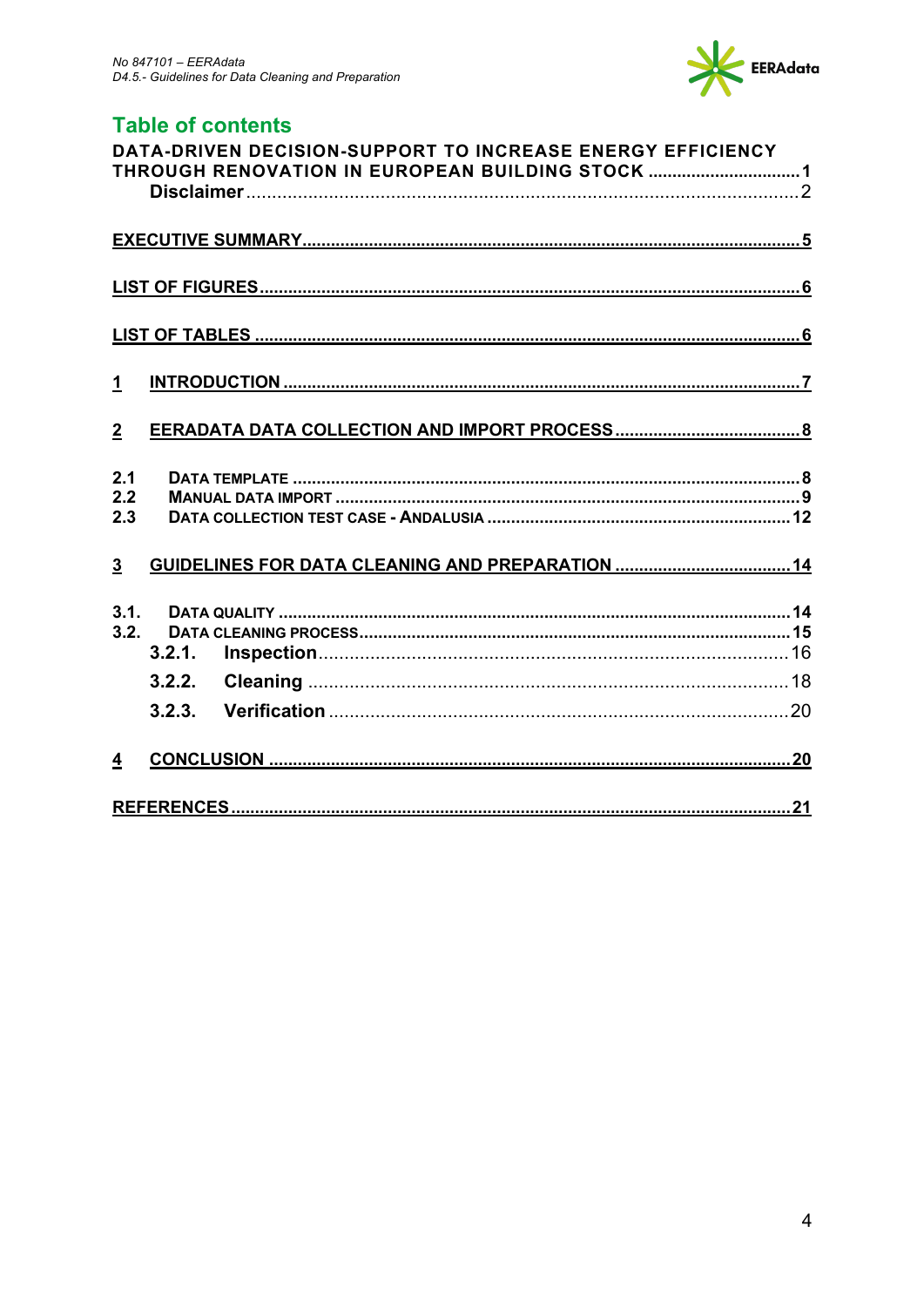

## **Table of contents**

| DATA-DRIVEN DECISION-SUPPORT TO INCREASE ENERGY EFFICIENCY<br>THROUGH RENOVATION IN EUROPEAN BUILDING STOCK 1 |  |
|---------------------------------------------------------------------------------------------------------------|--|
|                                                                                                               |  |
|                                                                                                               |  |
|                                                                                                               |  |
| $\mathbf{1}$                                                                                                  |  |
| $\overline{2}$                                                                                                |  |
| 2.1<br>2.2<br>2.3                                                                                             |  |
| $\overline{3}$                                                                                                |  |
| 3.1.<br>3.2.<br>3.2.1.                                                                                        |  |
| 3.2.2.                                                                                                        |  |
| 3.2.3.                                                                                                        |  |
| $\overline{4}$                                                                                                |  |
|                                                                                                               |  |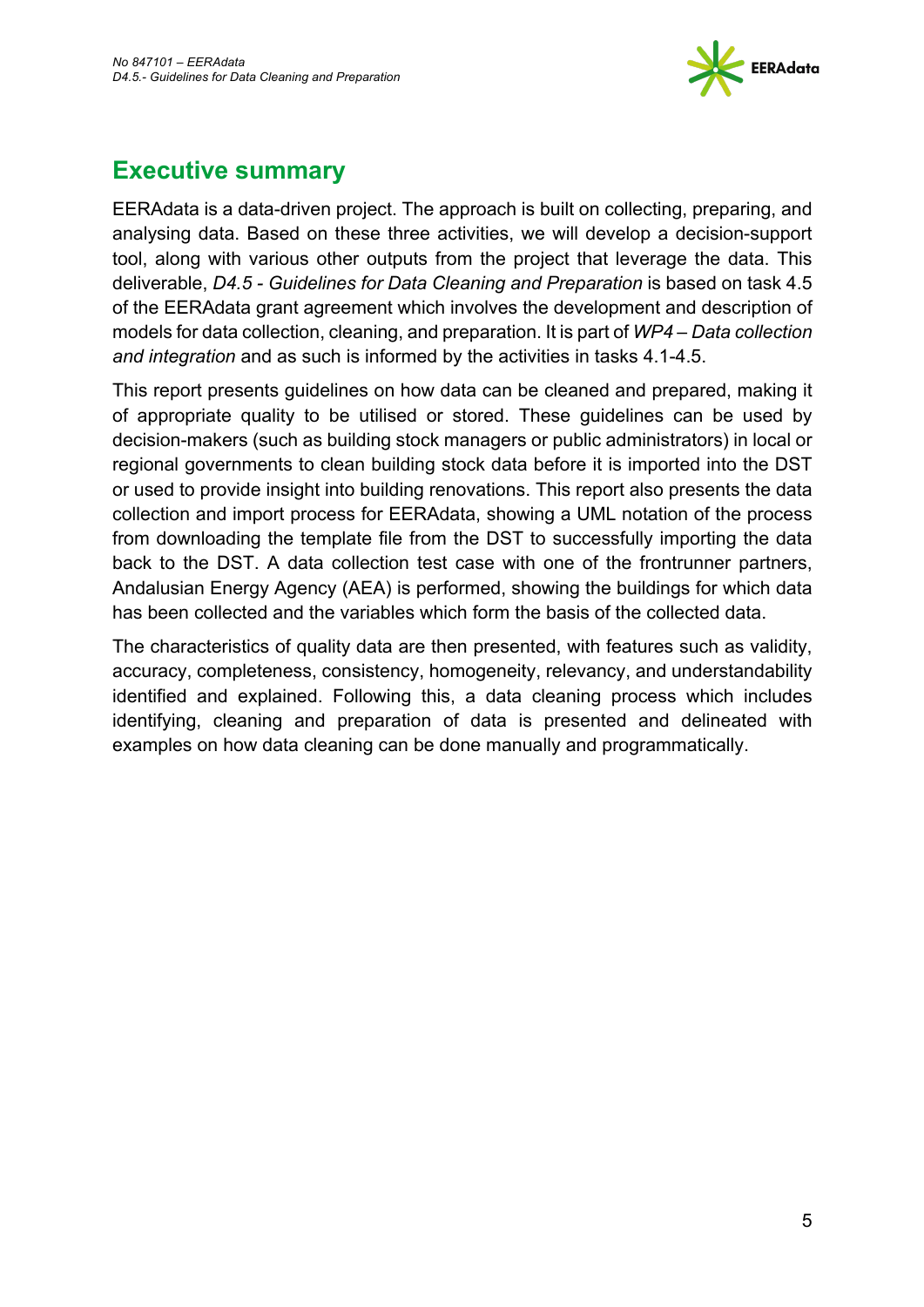

# **Executive summary**

EERAdata is a data-driven project. The approach is built on collecting, preparing, and analysing data. Based on these three activities, we will develop a decision-support tool, along with various other outputs from the project that leverage the data. This deliverable, *D4.5 - Guidelines for Data Cleaning and Preparation* is based on task 4.5 of the EERAdata grant agreement which involves the development and description of models for data collection, cleaning, and preparation. It is part of *WP4 – Data collection and integration* and as such is informed by the activities in tasks 4.1-4.5.

This report presents guidelines on how data can be cleaned and prepared, making it of appropriate quality to be utilised or stored. These guidelines can be used by decision-makers (such as building stock managers or public administrators) in local or regional governments to clean building stock data before it is imported into the DST or used to provide insight into building renovations. This report also presents the data collection and import process for EERAdata, showing a UML notation of the process from downloading the template file from the DST to successfully importing the data back to the DST. A data collection test case with one of the frontrunner partners, Andalusian Energy Agency (AEA) is performed, showing the buildings for which data has been collected and the variables which form the basis of the collected data.

The characteristics of quality data are then presented, with features such as validity, accuracy, completeness, consistency, homogeneity, relevancy, and understandability identified and explained. Following this, a data cleaning process which includes identifying, cleaning and preparation of data is presented and delineated with examples on how data cleaning can be done manually and programmatically.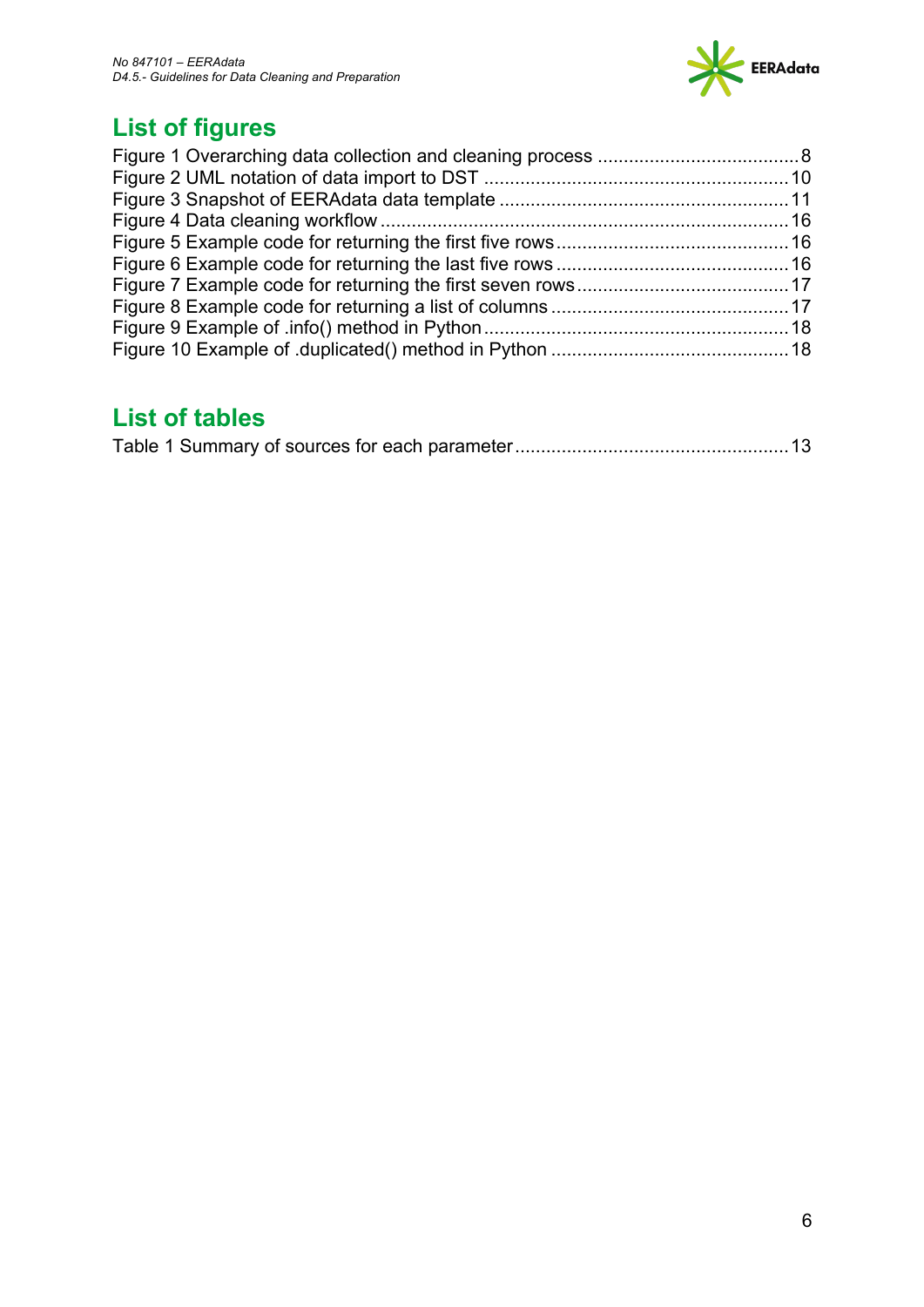

# **List of figures**

# **List of tables**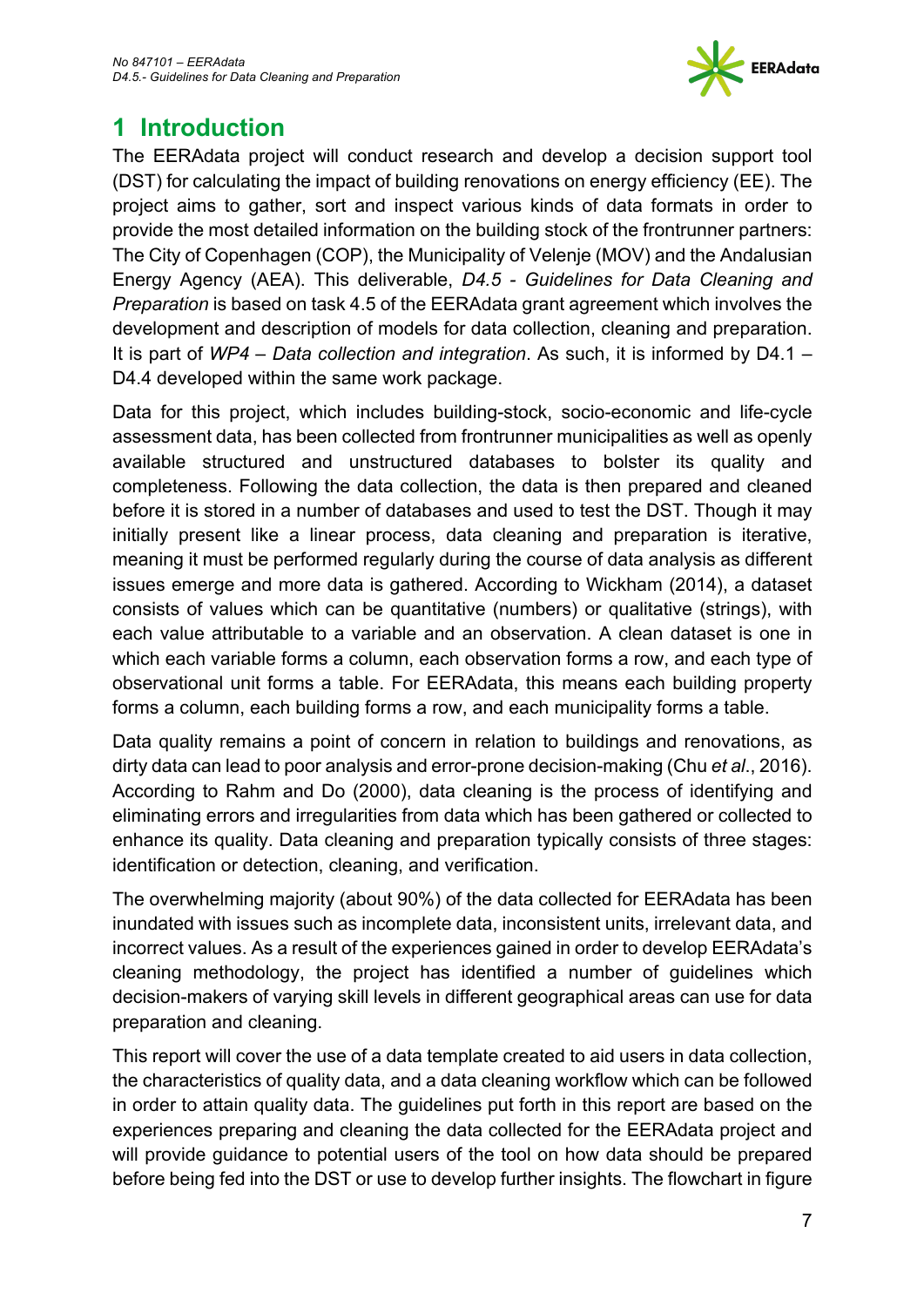

# **1 Introduction**

The EERAdata project will conduct research and develop a decision support tool (DST) for calculating the impact of building renovations on energy efficiency (EE). The project aims to gather, sort and inspect various kinds of data formats in order to provide the most detailed information on the building stock of the frontrunner partners: The City of Copenhagen (COP), the Municipality of Velenje (MOV) and the Andalusian Energy Agency (AEA). This deliverable, *D4.5 - Guidelines for Data Cleaning and Preparation* is based on task 4.5 of the EERAdata grant agreement which involves the development and description of models for data collection, cleaning and preparation. It is part of *WP4 – Data collection and integration*. As such, it is informed by D4.1 – D4.4 developed within the same work package.

Data for this project, which includes building-stock, socio-economic and life-cycle assessment data, has been collected from frontrunner municipalities as well as openly available structured and unstructured databases to bolster its quality and completeness. Following the data collection, the data is then prepared and cleaned before it is stored in a number of databases and used to test the DST. Though it may initially present like a linear process, data cleaning and preparation is iterative, meaning it must be performed regularly during the course of data analysis as different issues emerge and more data is gathered. According to Wickham (2014), a dataset consists of values which can be quantitative (numbers) or qualitative (strings), with each value attributable to a variable and an observation. A clean dataset is one in which each variable forms a column, each observation forms a row, and each type of observational unit forms a table. For EERAdata, this means each building property forms a column, each building forms a row, and each municipality forms a table.

Data quality remains a point of concern in relation to buildings and renovations, as dirty data can lead to poor analysis and error-prone decision-making (Chu *et al*., 2016). According to Rahm and Do (2000), data cleaning is the process of identifying and eliminating errors and irregularities from data which has been gathered or collected to enhance its quality. Data cleaning and preparation typically consists of three stages: identification or detection, cleaning, and verification.

The overwhelming majority (about 90%) of the data collected for EERAdata has been inundated with issues such as incomplete data, inconsistent units, irrelevant data, and incorrect values. As a result of the experiences gained in order to develop EERAdata's cleaning methodology, the project has identified a number of guidelines which decision-makers of varying skill levels in different geographical areas can use for data preparation and cleaning.

This report will cover the use of a data template created to aid users in data collection, the characteristics of quality data, and a data cleaning workflow which can be followed in order to attain quality data. The guidelines put forth in this report are based on the experiences preparing and cleaning the data collected for the EERAdata project and will provide guidance to potential users of the tool on how data should be prepared before being fed into the DST or use to develop further insights. The flowchart in figure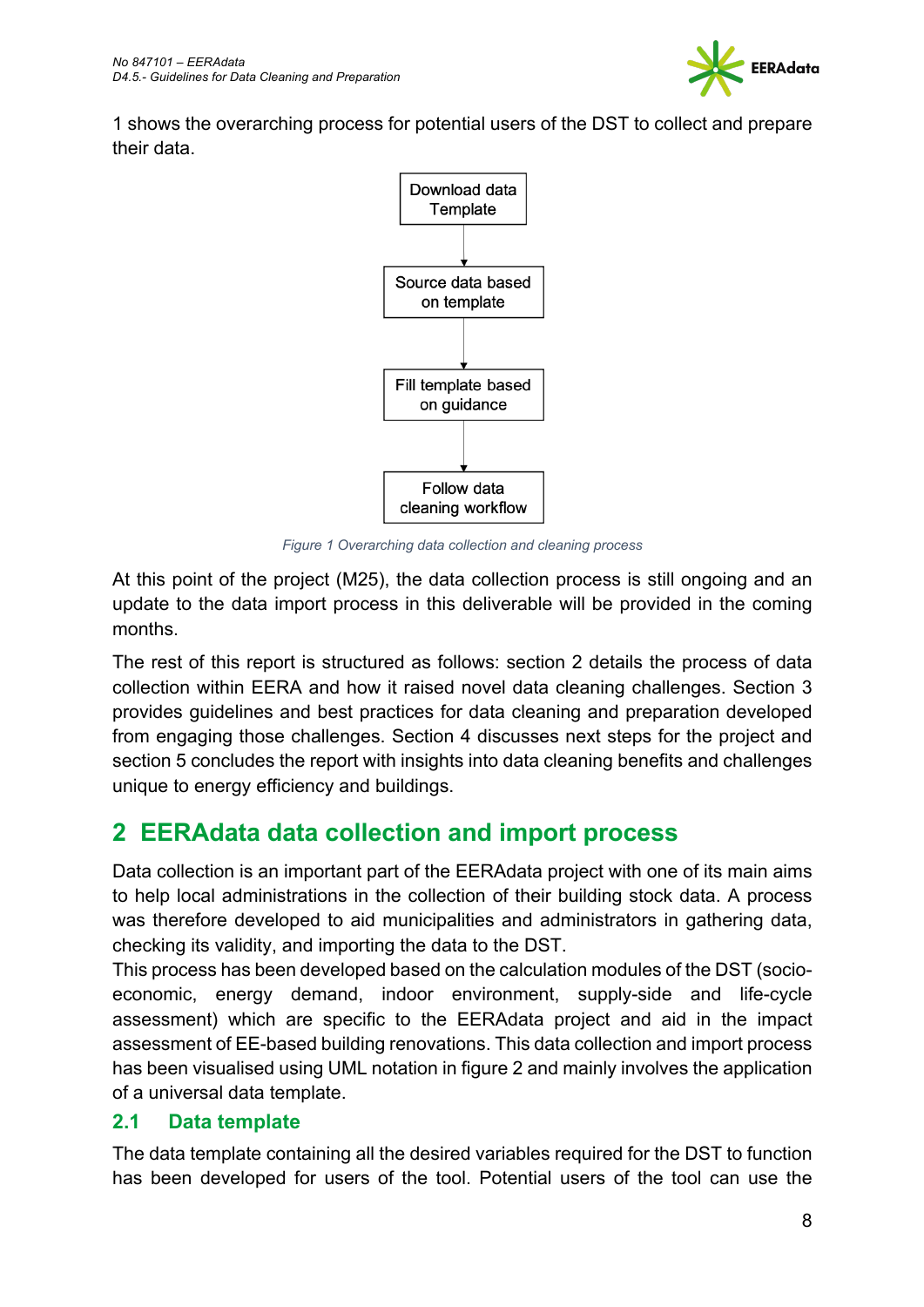

1 shows the overarching process for potential users of the DST to collect and prepare their data.



*Figure 1 Overarching data collection and cleaning process*

At this point of the project (M25), the data collection process is still ongoing and an update to the data import process in this deliverable will be provided in the coming months.

The rest of this report is structured as follows: section 2 details the process of data collection within EERA and how it raised novel data cleaning challenges. Section 3 provides guidelines and best practices for data cleaning and preparation developed from engaging those challenges. Section 4 discusses next steps for the project and section 5 concludes the report with insights into data cleaning benefits and challenges unique to energy efficiency and buildings.

# **2 EERAdata data collection and import process**

Data collection is an important part of the EERAdata project with one of its main aims to help local administrations in the collection of their building stock data. A process was therefore developed to aid municipalities and administrators in gathering data, checking its validity, and importing the data to the DST.

This process has been developed based on the calculation modules of the DST (socioeconomic, energy demand, indoor environment, supply-side and life-cycle assessment) which are specific to the EERAdata project and aid in the impact assessment of EE-based building renovations. This data collection and import process has been visualised using UML notation in figure 2 and mainly involves the application of a universal data template.

### **2.1 Data template**

The data template containing all the desired variables required for the DST to function has been developed for users of the tool. Potential users of the tool can use the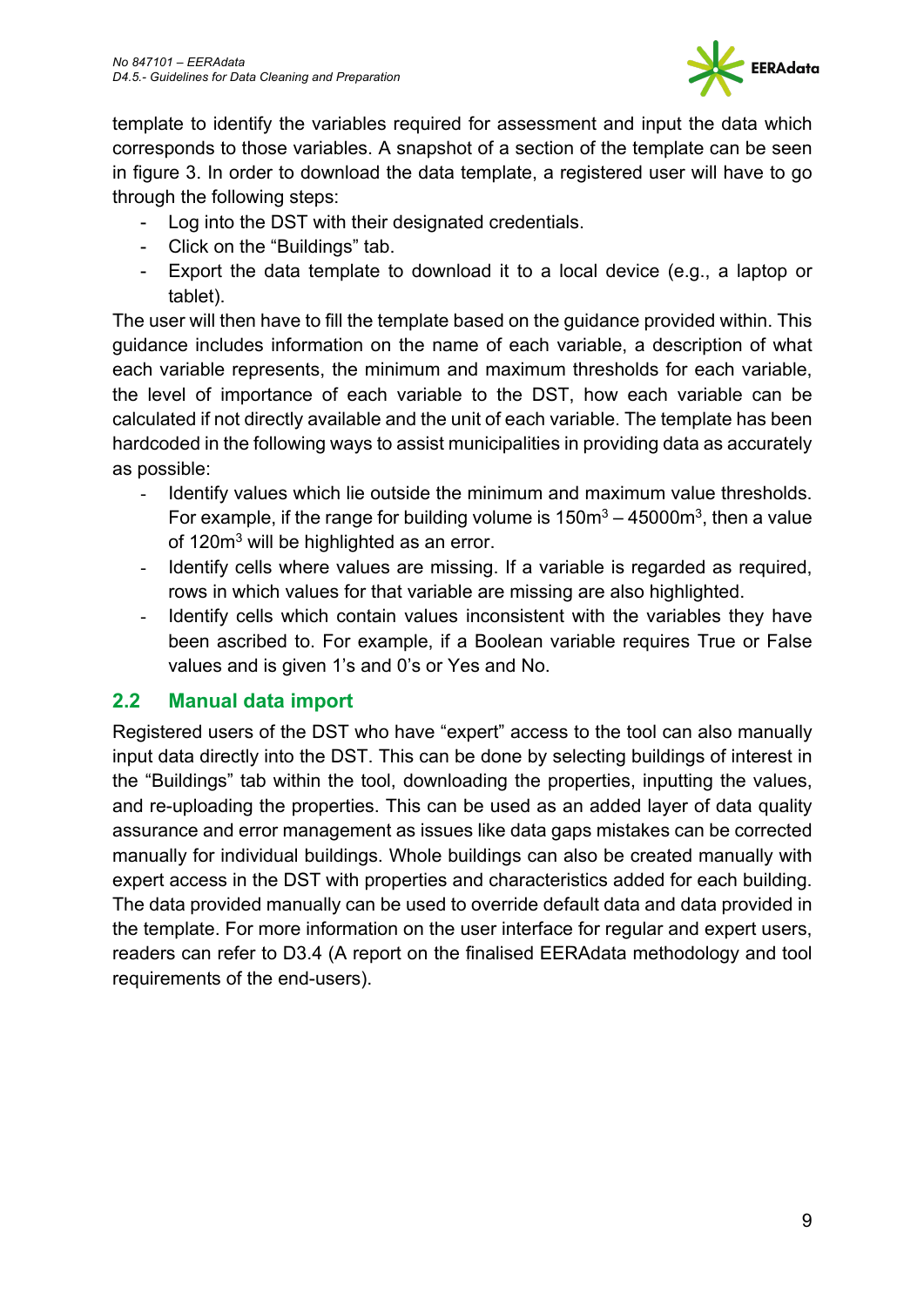

template to identify the variables required for assessment and input the data which corresponds to those variables. A snapshot of a section of the template can be seen in figure 3. In order to download the data template, a registered user will have to go through the following steps:

- Log into the DST with their designated credentials.
- Click on the "Buildings" tab.
- Export the data template to download it to a local device (e.g., a laptop or tablet).

The user will then have to fill the template based on the guidance provided within. This guidance includes information on the name of each variable, a description of what each variable represents, the minimum and maximum thresholds for each variable, the level of importance of each variable to the DST, how each variable can be calculated if not directly available and the unit of each variable. The template has been hardcoded in the following ways to assist municipalities in providing data as accurately as possible:

- Identify values which lie outside the minimum and maximum value thresholds. For example, if the range for building volume is  $150m^3 - 45000m^3$ , then a value of 120m<sup>3</sup> will be highlighted as an error.
- Identify cells where values are missing. If a variable is regarded as required, rows in which values for that variable are missing are also highlighted.
- Identify cells which contain values inconsistent with the variables they have been ascribed to. For example, if a Boolean variable requires True or False values and is given 1's and 0's or Yes and No.

### **2.2 Manual data import**

Registered users of the DST who have "expert" access to the tool can also manually input data directly into the DST. This can be done by selecting buildings of interest in the "Buildings" tab within the tool, downloading the properties, inputting the values, and re-uploading the properties. This can be used as an added layer of data quality assurance and error management as issues like data gaps mistakes can be corrected manually for individual buildings. Whole buildings can also be created manually with expert access in the DST with properties and characteristics added for each building. The data provided manually can be used to override default data and data provided in the template. For more information on the user interface for regular and expert users, readers can refer to D3.4 (A report on the finalised EERAdata methodology and tool requirements of the end-users).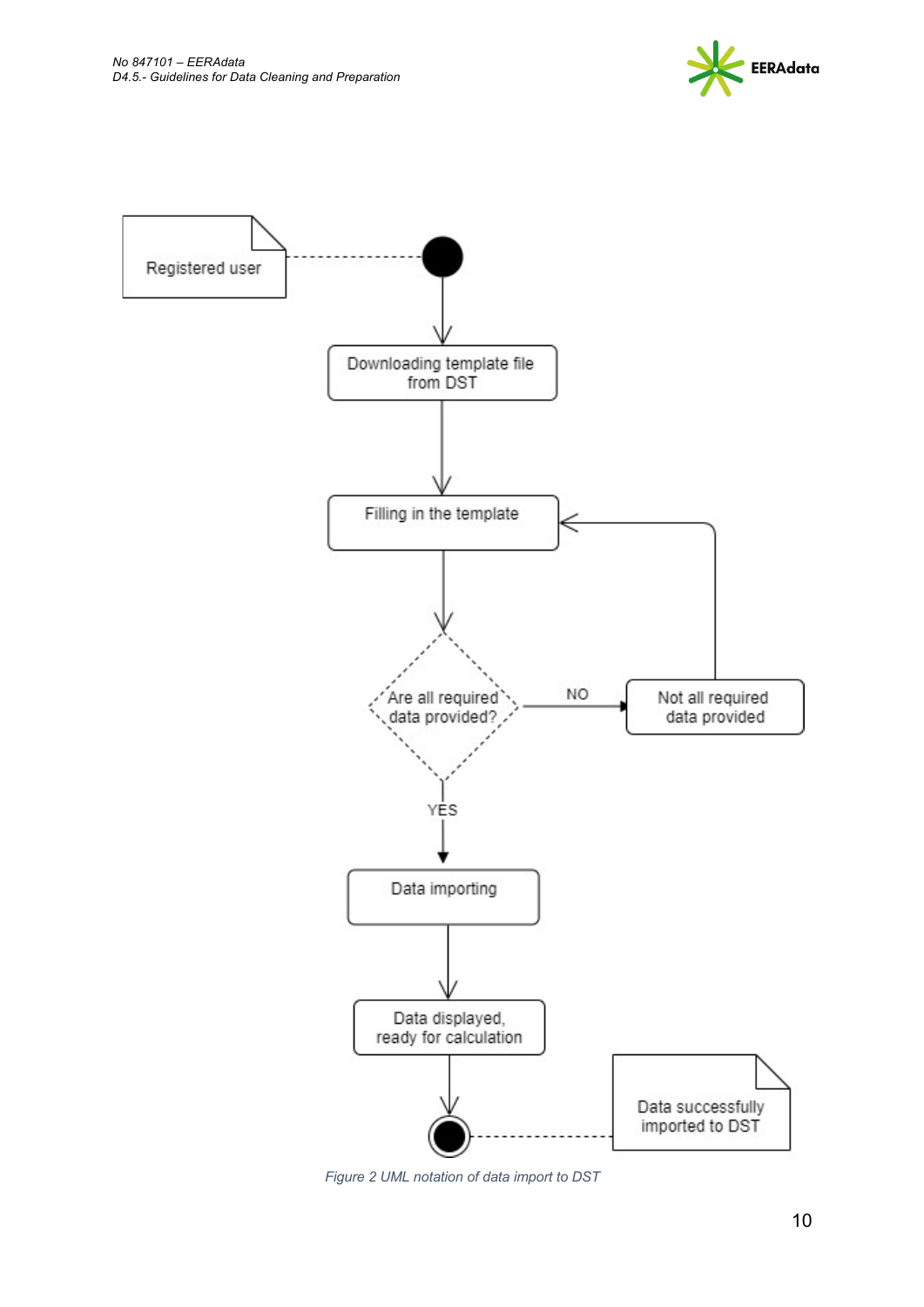



*Figure 2 UML notation of data import to DST*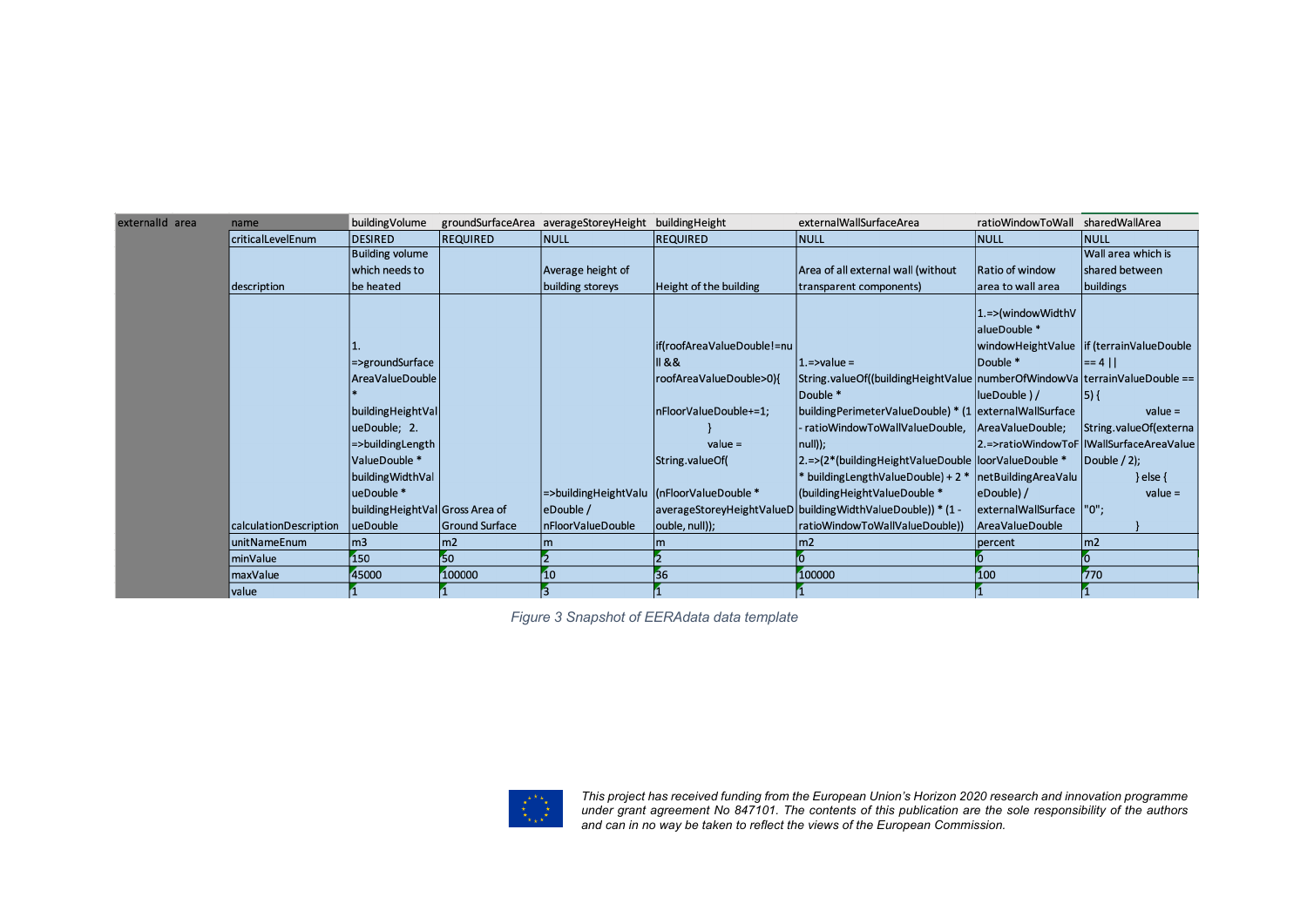| externalld area | name                   | building Volume                   |                       | groundSurfaceArea averageStoreyHeight buildingHeight |                            | externalWallSurfaceArea                                                        | ratioWindowToWall         | sharedWallArea                             |
|-----------------|------------------------|-----------------------------------|-----------------------|------------------------------------------------------|----------------------------|--------------------------------------------------------------------------------|---------------------------|--------------------------------------------|
|                 | criticalLevelEnum      | DESIRED                           | <b>REQUIRED</b>       | NULL                                                 | <b>REQUIRED</b>            | NULL                                                                           | NULL                      | <b>NULL</b>                                |
|                 |                        | <b>Building volume</b>            |                       |                                                      |                            |                                                                                |                           | Wall area which is                         |
|                 |                        | which needs to                    |                       | Average height of                                    |                            | Area of all external wall (without                                             | Ratio of window           | shared between                             |
|                 | description            | be heated                         |                       | building storeys                                     | Height of the building     | transparent components)                                                        | area to wall area         | buildings                                  |
|                 |                        |                                   |                       |                                                      |                            |                                                                                | 1.=>(windowWidthV         |                                            |
|                 |                        |                                   |                       |                                                      |                            |                                                                                | alueDouble *              |                                            |
|                 |                        |                                   |                       |                                                      | if(roofAreaValueDouble!=nu |                                                                                |                           | windowHeightValue   if (terrainValueDouble |
|                 |                        |                                   |                       |                                                      |                            |                                                                                |                           |                                            |
|                 |                        | =>groundSurface                   |                       |                                                      | 88                         | $1$ .=>value =                                                                 | Double *                  | $ = 4$                                     |
|                 |                        | <b>AreaValueDouble</b>            |                       |                                                      | roofAreaValueDouble>0){    | String.valueOf((buildingHeightValue   numberOfWindowVa   terrainValueDouble == |                           |                                            |
|                 |                        |                                   |                       |                                                      |                            | Double *                                                                       | lueDouble ) /             | $ 5\rangle$ {                              |
|                 |                        | building Height Val               |                       |                                                      | nFloorValueDouble+=1;      | building Perimeter Value Double) * (1   external Wall Surface                  |                           | $value =$                                  |
|                 |                        | ueDouble; 2.                      |                       |                                                      |                            | - ratioWindowToWallValueDouble,                                                | AreaValueDouble;          | String.valueOf(externa                     |
|                 |                        | =>buildingLength                  |                       |                                                      | $value =$                  | $ null\rangle$ :                                                               |                           | 2.=>ratioWindowToF   IWallSurfaceAreaValue |
|                 |                        | ValueDouble *                     |                       |                                                      | String.valueOf(            | 2.=>(2*(buildingHeightValueDouble  loorValueDouble *                           |                           | $ Double / 2$ :                            |
|                 |                        | building Width Val                |                       |                                                      |                            | * building Length Value Double) + 2 *                                          | netBuildingAreaValu       | } else $\{$                                |
|                 |                        | ueDouble *                        |                       | =>buildingHeightValu  (nFloorValueDouble *           |                            | (building Height Value Double *                                                | eDouble) /                | $value =$                                  |
|                 |                        | building Height Val Gross Area of |                       | eDouble /                                            |                            | averageStoreyHeightValueD buildingWidthValueDouble)) * (1 -                    | externalWallSurface  "0"; |                                            |
|                 | calculationDescription | ueDouble                          | <b>Ground Surface</b> | InFloorValueDouble                                   | ouble, null));             | ratioWindowToWallValueDouble))                                                 | <b>AreaValueDouble</b>    |                                            |
|                 | unitNameEnum           | $\mathsf{Im}3$                    | $\mathsf{Im}2$        |                                                      |                            | $\mathsf{Im}2$                                                                 | percent                   | $\mathsf{m}$                               |
|                 | minValue               | 150                               | 50                    |                                                      |                            |                                                                                |                           |                                            |
|                 | maxValue               | 45000                             | 100000                | 10                                                   | 36                         | 100000                                                                         | 100                       | 770                                        |
|                 | value                  |                                   |                       |                                                      |                            |                                                                                |                           |                                            |

*Figure 3 Snapshot of EERAdata data template*



*This project has received funding from the European Union's Horizon 2020 research and innovation programme under grant agreement No 847101. The contents of this publication are the sole responsibility of the authors and can in no way be taken to reflect the views of the European Commission.*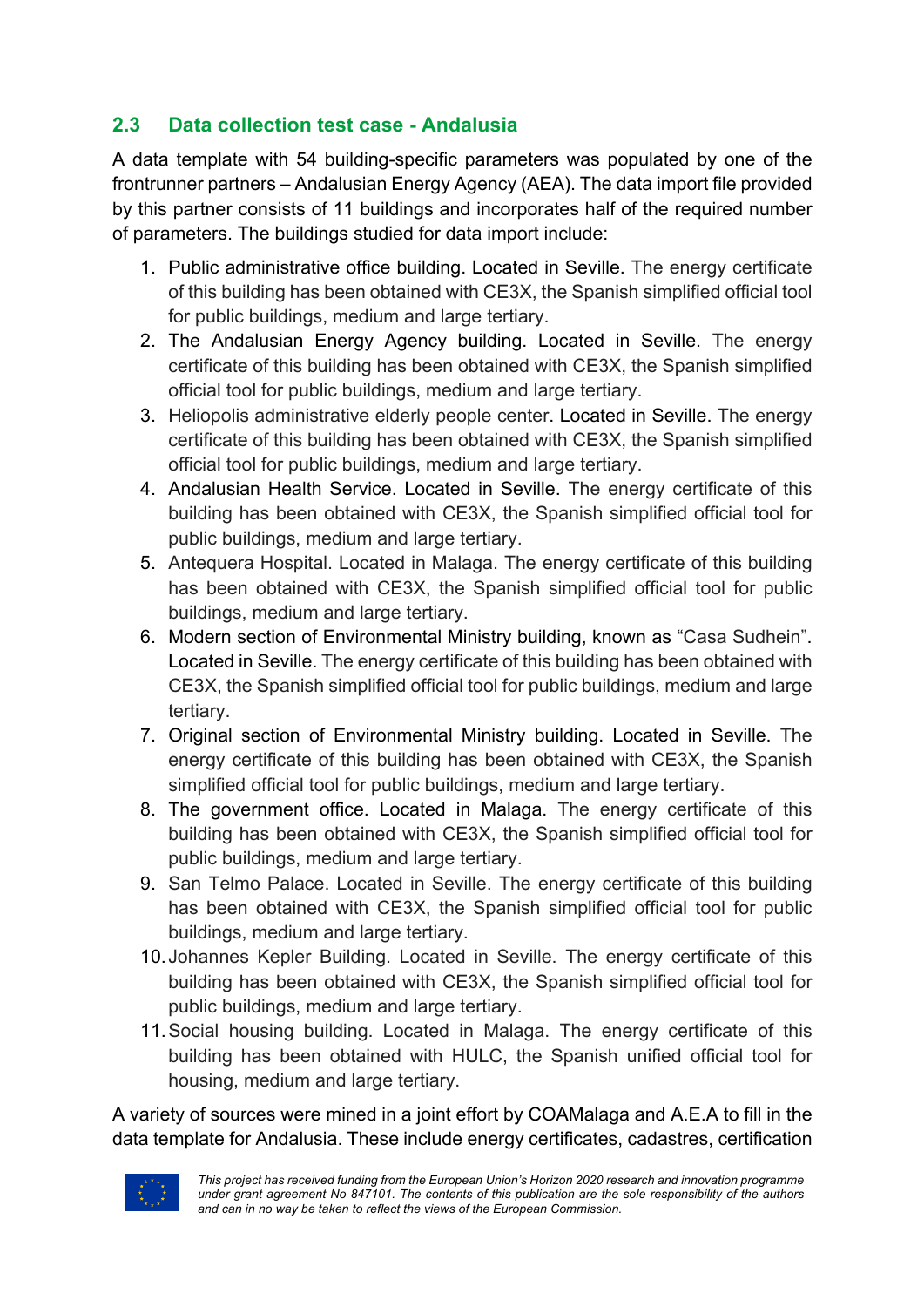### **2.3 Data collection test case - Andalusia**

A data template with 54 building-specific parameters was populated by one of the frontrunner partners – Andalusian Energy Agency (AEA). The data import file provided by this partner consists of 11 buildings and incorporates half of the required number of parameters. The buildings studied for data import include:

- 1. Public administrative office building. Located in Seville. The energy certificate of this building has been obtained with CE3X, the Spanish simplified official tool for public buildings, medium and large tertiary.
- 2. The Andalusian Energy Agency building. Located in Seville. The energy certificate of this building has been obtained with CE3X, the Spanish simplified official tool for public buildings, medium and large tertiary.
- 3. Heliopolis administrative elderly people center. Located in Seville. The energy certificate of this building has been obtained with CE3X, the Spanish simplified official tool for public buildings, medium and large tertiary.
- 4. Andalusian Health Service. Located in Seville. The energy certificate of this building has been obtained with CE3X, the Spanish simplified official tool for public buildings, medium and large tertiary.
- 5. Antequera Hospital. Located in Malaga. The energy certificate of this building has been obtained with CE3X, the Spanish simplified official tool for public buildings, medium and large tertiary.
- 6. Modern section of Environmental Ministry building, known as "Casa Sudhein". Located in Seville. The energy certificate of this building has been obtained with CE3X, the Spanish simplified official tool for public buildings, medium and large tertiary.
- 7. Original section of Environmental Ministry building. Located in Seville. The energy certificate of this building has been obtained with CE3X, the Spanish simplified official tool for public buildings, medium and large tertiary.
- 8. The government office. Located in Malaga. The energy certificate of this building has been obtained with CE3X, the Spanish simplified official tool for public buildings, medium and large tertiary.
- 9. San Telmo Palace. Located in Seville. The energy certificate of this building has been obtained with CE3X, the Spanish simplified official tool for public buildings, medium and large tertiary.
- 10.Johannes Kepler Building. Located in Seville. The energy certificate of this building has been obtained with CE3X, the Spanish simplified official tool for public buildings, medium and large tertiary.
- 11.Social housing building. Located in Malaga. The energy certificate of this building has been obtained with HULC, the Spanish unified official tool for housing, medium and large tertiary.

A variety of sources were mined in a joint effort by COAMalaga and A.E.A to fill in the data template for Andalusia. These include energy certificates, cadastres, certification

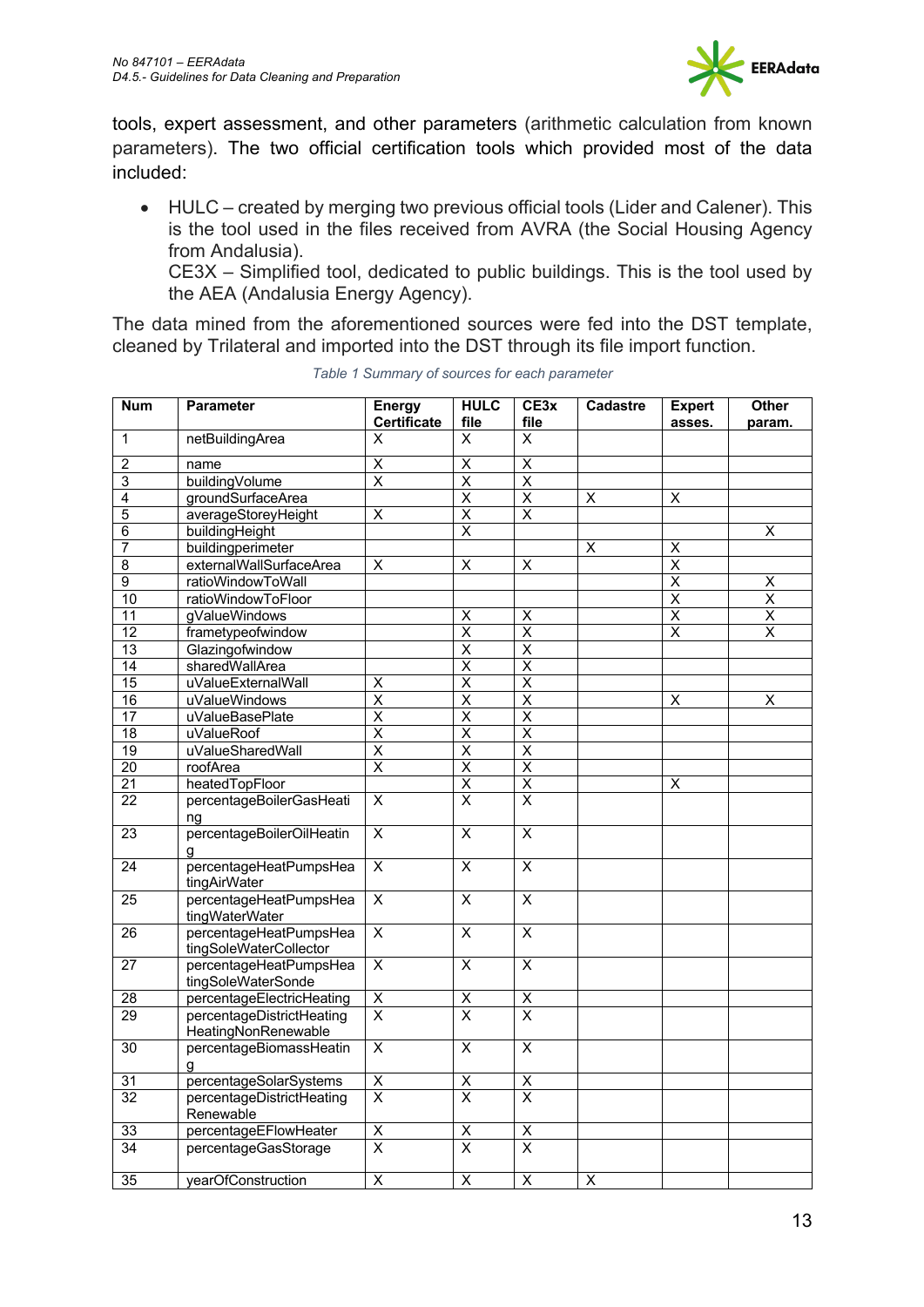

tools, expert assessment, and other parameters (arithmetic calculation from known parameters). The two official certification tools which provided most of the data included:

• HULC – created by merging two previous official tools (Lider and Calener). This is the tool used in the files received from AVRA (the Social Housing Agency from Andalusia).

CE3X – Simplified tool, dedicated to public buildings. This is the tool used by the AEA (Andalusia Energy Agency).

The data mined from the aforementioned sources were fed into the DST template, cleaned by Trilateral and imported into the DST through its file import function.

| <b>Num</b>      | <b>Parameter</b>          | <b>Energy</b>           | <b>HULC</b>                     | CE3x                    | <b>Cadastre</b>         | <b>Expert</b>           | <b>Other</b>            |
|-----------------|---------------------------|-------------------------|---------------------------------|-------------------------|-------------------------|-------------------------|-------------------------|
|                 |                           | <b>Certificate</b>      | file                            | file                    |                         | asses.                  | param.                  |
| 1               | netBuildingArea           | X                       | X                               | X                       |                         |                         |                         |
| $\overline{2}$  | name                      | X                       | $\overline{\mathsf{x}}$         | X                       |                         |                         |                         |
| 3               | buildingVolume            | $\overline{\mathsf{x}}$ | $\overline{\mathsf{x}}$         | $\overline{\mathsf{x}}$ |                         |                         |                         |
| 4               | groundSurfaceArea         |                         | $\overline{\mathsf{x}}$         | $\overline{\mathsf{x}}$ | $\overline{\mathsf{x}}$ | $\overline{\mathsf{x}}$ |                         |
| 5               | averageStoreyHeight       | $\overline{\mathsf{x}}$ | $\overline{\mathsf{x}}$         | $\overline{\mathsf{x}}$ |                         |                         |                         |
| 6               | buildingHeight            |                         | $\overline{\mathsf{x}}$         |                         |                         |                         | Χ                       |
| $\overline{7}$  | buildingperimeter         |                         |                                 |                         | X                       | $\overline{\mathsf{x}}$ |                         |
| $\overline{8}$  | externalWallSurfaceArea   | $\overline{\mathsf{x}}$ | $\overline{\mathsf{x}}$         | $\overline{\mathsf{x}}$ |                         | $\overline{\mathsf{x}}$ |                         |
| $\overline{9}$  | ratioWindowToWall         |                         |                                 |                         |                         | $\overline{\mathsf{x}}$ | $\overline{\mathsf{x}}$ |
| $\overline{10}$ | ratioWindowToFloor        |                         |                                 |                         |                         | $\overline{\mathsf{x}}$ | $\overline{\mathsf{x}}$ |
| 11              | gValueWindows             |                         | $\overline{X}$                  | $\overline{\mathsf{x}}$ |                         | $\overline{\mathsf{x}}$ | $\overline{\mathsf{x}}$ |
| $\overline{12}$ | frametypeofwindow         |                         | $\overline{\mathsf{x}}$         | $\overline{\mathsf{x}}$ |                         | $\overline{\mathsf{x}}$ | $\overline{\mathsf{x}}$ |
| 13              | Glazingofwindow           |                         | $\overline{\mathsf{x}}$         | $\overline{\mathsf{x}}$ |                         |                         |                         |
| $\overline{14}$ | sharedWallArea            |                         | $\overline{\mathsf{x}}$         | $\overline{\mathsf{x}}$ |                         |                         |                         |
| $\overline{15}$ | uValueExternalWall        | Χ                       | $\overline{\mathsf{x}}$         | $\overline{\mathsf{x}}$ |                         |                         |                         |
| $\overline{16}$ | uValueWindows             | $\overline{\mathsf{x}}$ | $\overline{\mathsf{x}}$         | $\overline{\mathsf{x}}$ |                         | Χ                       | Χ                       |
| $\overline{17}$ | uValueBasePlate           | $\overline{\mathsf{x}}$ | $\overline{\mathsf{x}}$         | $\overline{\mathsf{x}}$ |                         |                         |                         |
| $\overline{18}$ | uValueRoof                | $\overline{\mathsf{x}}$ | $\overline{\mathsf{x}}$         | $\overline{\mathsf{x}}$ |                         |                         |                         |
| 19              | uValueSharedWall          | Χ                       | $\overline{\mathsf{x}}$         | $\overline{\mathsf{x}}$ |                         |                         |                         |
| $\overline{20}$ | roofArea                  | $\overline{\mathsf{x}}$ | $\overline{\mathsf{x}}$         | $\overline{\mathsf{x}}$ |                         |                         |                         |
| $\overline{21}$ | heatedTopFloor            |                         | $\overline{\mathsf{x}}$         | $\overline{\mathsf{x}}$ |                         | Χ                       |                         |
| $\overline{22}$ | percentageBoilerGasHeati  | $\overline{\mathsf{x}}$ | $\overline{\mathsf{x}}$         | $\overline{\mathsf{x}}$ |                         |                         |                         |
|                 | ng                        |                         |                                 |                         |                         |                         |                         |
| $\overline{23}$ | percentageBoilerOilHeatin | $\overline{\mathsf{x}}$ | $\overline{\mathsf{x}}$         | $\overline{\mathsf{x}}$ |                         |                         |                         |
|                 |                           |                         |                                 |                         |                         |                         |                         |
| 24              | percentageHeatPumpsHea    | X                       | $\overline{\mathsf{x}}$         | X                       |                         |                         |                         |
|                 | tingAirWater              |                         |                                 |                         |                         |                         |                         |
| $\overline{25}$ | percentageHeatPumpsHea    | $\overline{\mathsf{x}}$ | $\overline{\mathsf{x}}$         | $\overline{\mathsf{x}}$ |                         |                         |                         |
|                 | tingWaterWater            |                         |                                 |                         |                         |                         |                         |
| 26              | percentageHeatPumpsHea    | $\overline{\mathsf{x}}$ | $\overline{\mathsf{x}}$         | $\overline{\mathsf{x}}$ |                         |                         |                         |
|                 | tingSoleWaterCollector    |                         |                                 |                         |                         |                         |                         |
| $\overline{27}$ | percentageHeatPumpsHea    | $\overline{\mathsf{x}}$ | $\overline{\mathsf{x}}$         | $\overline{\mathsf{x}}$ |                         |                         |                         |
|                 | tingSoleWaterSonde        |                         |                                 |                         |                         |                         |                         |
| $\overline{28}$ | percentageElectricHeating | $\overline{\mathsf{x}}$ | $\frac{\mathsf{x}}{\mathsf{x}}$ | X                       |                         |                         |                         |
| 29              | percentageDistrictHeating | $\overline{\mathsf{x}}$ |                                 | $\overline{\mathsf{x}}$ |                         |                         |                         |
|                 | HeatingNonRenewable       |                         |                                 |                         |                         |                         |                         |
| $\overline{30}$ | percentageBiomassHeatin   | $\overline{\mathsf{x}}$ | $\overline{\mathsf{x}}$         | $\overline{\mathsf{x}}$ |                         |                         |                         |
|                 | q                         |                         |                                 |                         |                         |                         |                         |
| 31              | percentageSolarSystems    | Χ                       | $\overline{\mathsf{X}}$         | Χ                       |                         |                         |                         |
| $\overline{32}$ | percentageDistrictHeating | $\overline{\mathsf{x}}$ | $\overline{X}$                  | $\overline{\mathsf{x}}$ |                         |                         |                         |
|                 | Renewable                 |                         |                                 |                         |                         |                         |                         |
| 33              | percentageEFlowHeater     | $\overline{\mathsf{x}}$ | $\overline{\mathsf{X}}$         | $\overline{\mathsf{x}}$ |                         |                         |                         |
| 34              | percentageGasStorage      | $\overline{\mathsf{x}}$ | $\overline{\mathsf{x}}$         | $\overline{\mathsf{x}}$ |                         |                         |                         |
|                 |                           |                         |                                 |                         |                         |                         |                         |
| $\overline{35}$ | yearOfConstruction        | $\overline{\mathsf{x}}$ | $\overline{\mathsf{x}}$         | $\overline{\mathsf{x}}$ | $\overline{\mathsf{x}}$ |                         |                         |

*Table 1 Summary of sources for each parameter*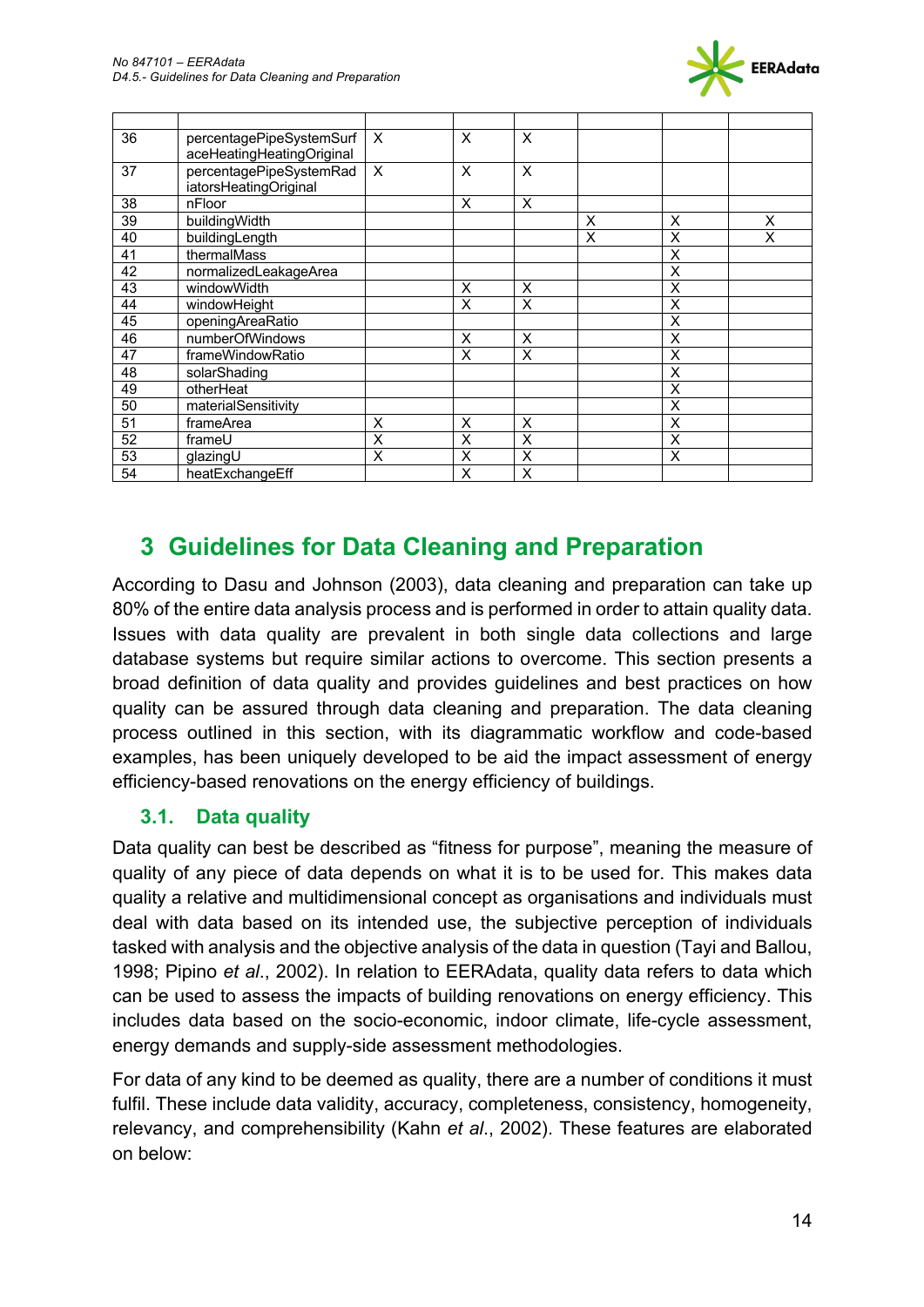

| 36 | percentagePipeSystemSurf<br>aceHeatingHeatingOriginal | X | X        | X |   |   |   |
|----|-------------------------------------------------------|---|----------|---|---|---|---|
| 37 | percentagePipeSystemRad<br>iatorsHeatingOriginal      | X | $\times$ | X |   |   |   |
| 38 | nFloor                                                |   | X        | X |   |   |   |
| 39 | buildingWidth                                         |   |          |   | X | X | X |
| 40 | buildingLength                                        |   |          |   | X | X | X |
| 41 | thermalMass                                           |   |          |   |   | X |   |
| 42 | normalizedLeakageArea                                 |   |          |   |   | X |   |
| 43 | windowWidth                                           |   | X        | X |   | X |   |
| 44 | windowHeight                                          |   | X        | X |   | X |   |
| 45 | openingAreaRatio                                      |   |          |   |   | X |   |
| 46 | numberOfWindows                                       |   | $\times$ | X |   | X |   |
| 47 | frameWindowRatio                                      |   | X        | X |   | X |   |
| 48 | solarShading                                          |   |          |   |   | X |   |
| 49 | otherHeat                                             |   |          |   |   | X |   |
| 50 | materialSensitivity                                   |   |          |   |   | X |   |
| 51 | frameArea                                             | X | X        | X |   | X |   |
| 52 | frameU                                                | X | X        | X |   | X |   |
| 53 | glazingU                                              | X | X        | X |   | X |   |
| 54 | heatExchangeEff                                       |   | X        | X |   |   |   |

# **3 Guidelines for Data Cleaning and Preparation**

According to Dasu and Johnson (2003), data cleaning and preparation can take up 80% of the entire data analysis process and is performed in order to attain quality data. Issues with data quality are prevalent in both single data collections and large database systems but require similar actions to overcome. This section presents a broad definition of data quality and provides guidelines and best practices on how quality can be assured through data cleaning and preparation. The data cleaning process outlined in this section, with its diagrammatic workflow and code-based examples, has been uniquely developed to be aid the impact assessment of energy efficiency-based renovations on the energy efficiency of buildings.

### **3.1. Data quality**

Data quality can best be described as "fitness for purpose", meaning the measure of quality of any piece of data depends on what it is to be used for. This makes data quality a relative and multidimensional concept as organisations and individuals must deal with data based on its intended use, the subjective perception of individuals tasked with analysis and the objective analysis of the data in question (Tayi and Ballou, 1998; Pipino *et al*., 2002). In relation to EERAdata, quality data refers to data which can be used to assess the impacts of building renovations on energy efficiency. This includes data based on the socio-economic, indoor climate, life-cycle assessment, energy demands and supply-side assessment methodologies.

For data of any kind to be deemed as quality, there are a number of conditions it must fulfil. These include data validity, accuracy, completeness, consistency, homogeneity, relevancy, and comprehensibility (Kahn *et al*., 2002). These features are elaborated on below: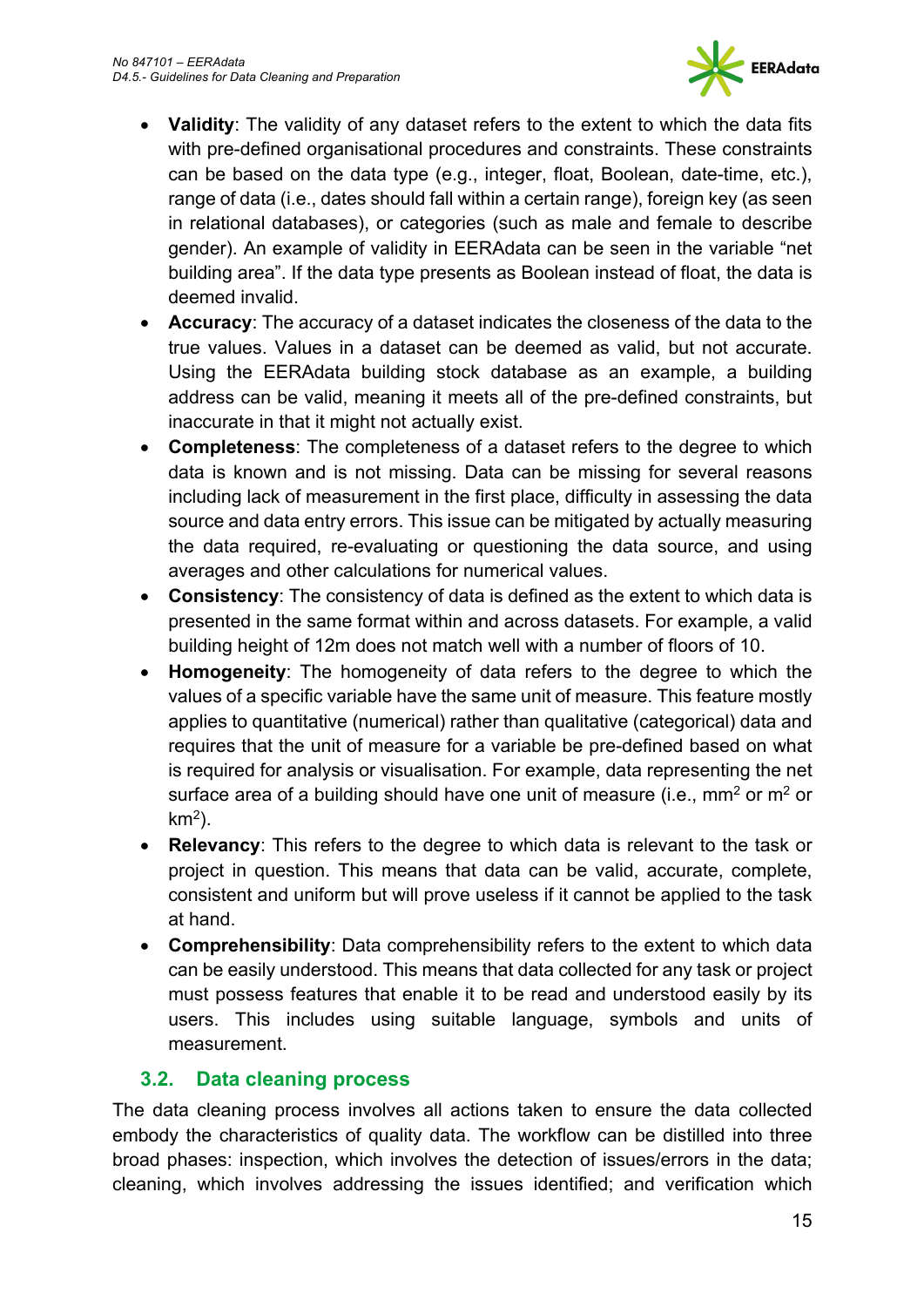

- **Validity**: The validity of any dataset refers to the extent to which the data fits with pre-defined organisational procedures and constraints. These constraints can be based on the data type (e.g., integer, float, Boolean, date-time, etc.), range of data (i.e., dates should fall within a certain range), foreign key (as seen in relational databases), or categories (such as male and female to describe gender). An example of validity in EERAdata can be seen in the variable "net building area". If the data type presents as Boolean instead of float, the data is deemed invalid.
- **Accuracy**: The accuracy of a dataset indicates the closeness of the data to the true values. Values in a dataset can be deemed as valid, but not accurate. Using the EERAdata building stock database as an example, a building address can be valid, meaning it meets all of the pre-defined constraints, but inaccurate in that it might not actually exist.
- **Completeness**: The completeness of a dataset refers to the degree to which data is known and is not missing. Data can be missing for several reasons including lack of measurement in the first place, difficulty in assessing the data source and data entry errors. This issue can be mitigated by actually measuring the data required, re-evaluating or questioning the data source, and using averages and other calculations for numerical values.
- **Consistency**: The consistency of data is defined as the extent to which data is presented in the same format within and across datasets. For example, a valid building height of 12m does not match well with a number of floors of 10.
- **Homogeneity**: The homogeneity of data refers to the degree to which the values of a specific variable have the same unit of measure. This feature mostly applies to quantitative (numerical) rather than qualitative (categorical) data and requires that the unit of measure for a variable be pre-defined based on what is required for analysis or visualisation. For example, data representing the net surface area of a building should have one unit of measure (i.e.,  $mm<sup>2</sup>$  or  $m<sup>2</sup>$  or  $km<sup>2</sup>$ ).
- **Relevancy**: This refers to the degree to which data is relevant to the task or project in question. This means that data can be valid, accurate, complete, consistent and uniform but will prove useless if it cannot be applied to the task at hand.
- **Comprehensibility**: Data comprehensibility refers to the extent to which data can be easily understood. This means that data collected for any task or project must possess features that enable it to be read and understood easily by its users. This includes using suitable language, symbols and units of measurement.

### **3.2. Data cleaning process**

The data cleaning process involves all actions taken to ensure the data collected embody the characteristics of quality data. The workflow can be distilled into three broad phases: inspection, which involves the detection of issues/errors in the data; cleaning, which involves addressing the issues identified; and verification which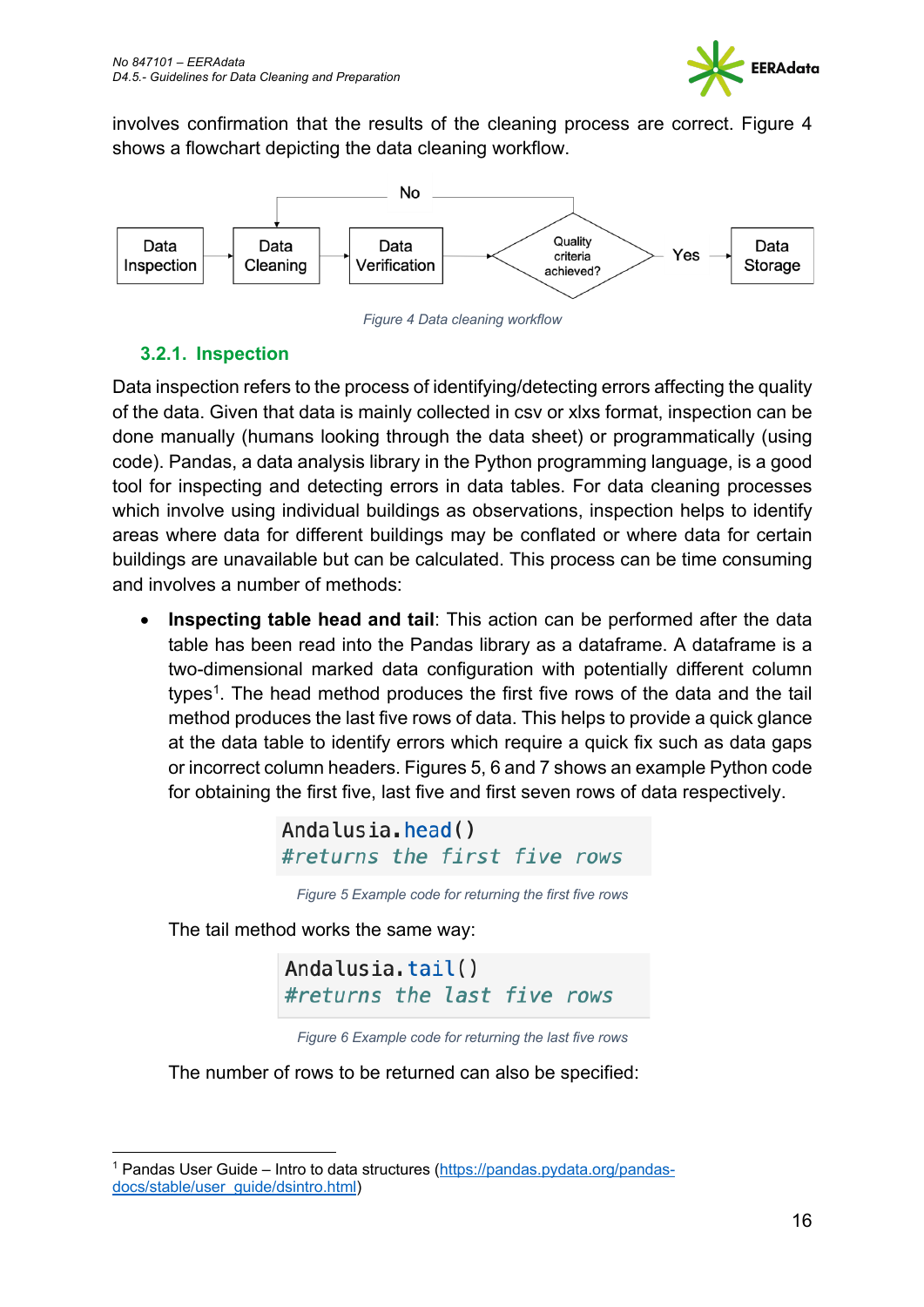

involves confirmation that the results of the cleaning process are correct. Figure 4 shows a flowchart depicting the data cleaning workflow.



*Figure 4 Data cleaning workflow*

#### **3.2.1. Inspection**

Data inspection refers to the process of identifying/detecting errors affecting the quality of the data. Given that data is mainly collected in csv or xlxs format, inspection can be done manually (humans looking through the data sheet) or programmatically (using code). Pandas, a data analysis library in the Python programming language, is a good tool for inspecting and detecting errors in data tables. For data cleaning processes which involve using individual buildings as observations, inspection helps to identify areas where data for different buildings may be conflated or where data for certain buildings are unavailable but can be calculated. This process can be time consuming and involves a number of methods:

• **Inspecting table head and tail**: This action can be performed after the data table has been read into the Pandas library as a dataframe. A dataframe is a two-dimensional marked data configuration with potentially different column types<sup>1</sup>. The head method produces the first five rows of the data and the tail method produces the last five rows of data. This helps to provide a quick glance at the data table to identify errors which require a quick fix such as data gaps or incorrect column headers. Figures 5, 6 and 7 shows an example Python code for obtaining the first five, last five and first seven rows of data respectively.

> Andalusia.head() #returns the first five rows

*Figure 5 Example code for returning the first five rows*

The tail method works the same way:

Andalusia.tail() #returns the last five rows



The number of rows to be returned can also be specified:

<sup>1</sup> Pandas User Guide – Intro to data structures (https://pandas.pydata.org/pandasdocs/stable/user\_guide/dsintro.html)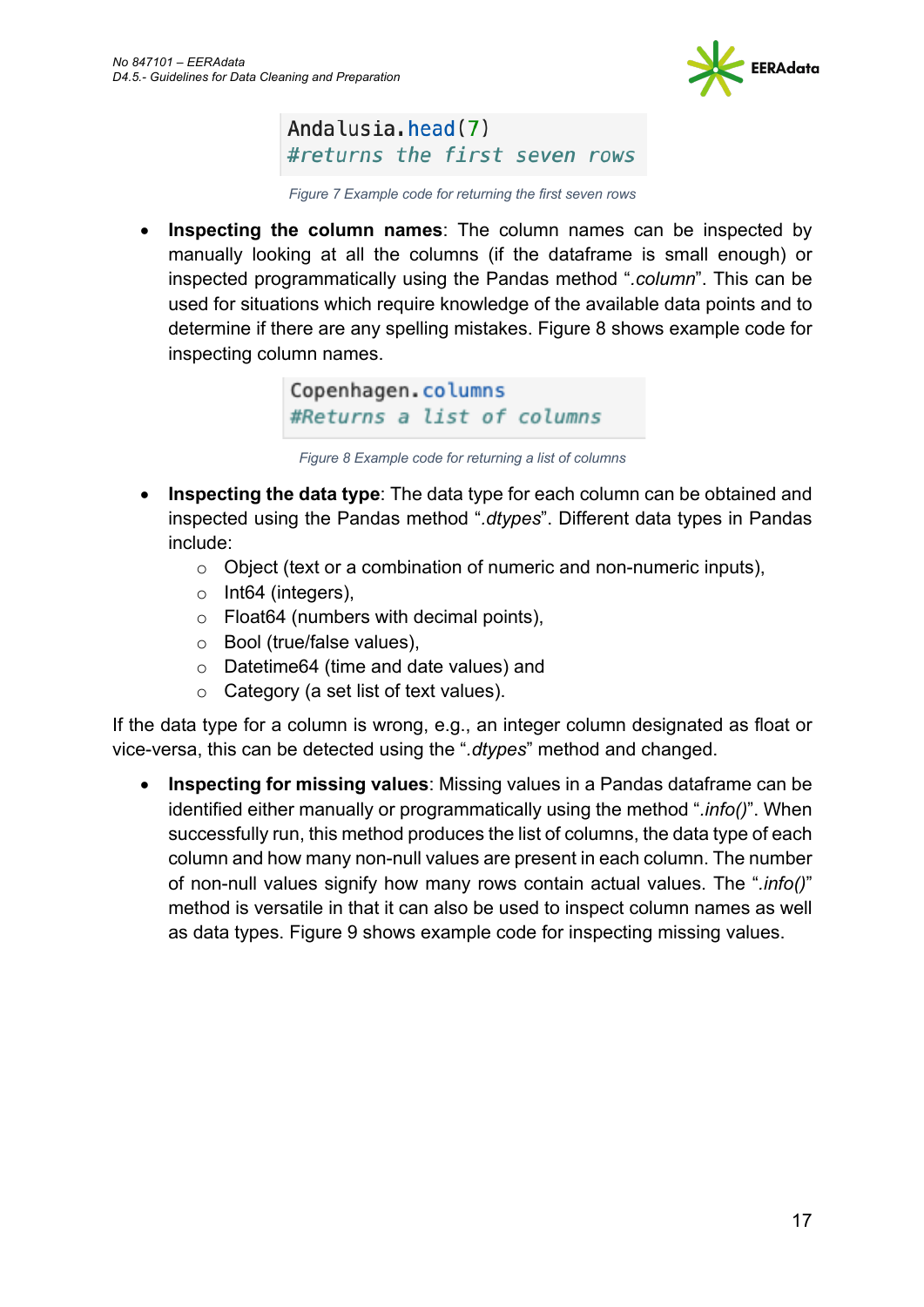

Andalusia.head(7) #returns the first seven rows

*Figure 7 Example code for returning the first seven rows*

• **Inspecting the column names**: The column names can be inspected by manually looking at all the columns (if the dataframe is small enough) or inspected programmatically using the Pandas method "*.column*". This can be used for situations which require knowledge of the available data points and to determine if there are any spelling mistakes. Figure 8 shows example code for inspecting column names.

> Copenhagen.columns #Returns a list of columns

*Figure 8 Example code for returning a list of columns*

- **Inspecting the data type**: The data type for each column can be obtained and inspected using the Pandas method "*.dtypes*". Different data types in Pandas include:
	- o Object (text or a combination of numeric and non-numeric inputs),
	- o Int64 (integers),
	- o Float64 (numbers with decimal points),
	- o Bool (true/false values),
	- o Datetime64 (time and date values) and
	- o Category (a set list of text values).

If the data type for a column is wrong, e.g., an integer column designated as float or vice-versa, this can be detected using the "*.dtypes*" method and changed.

• **Inspecting for missing values**: Missing values in a Pandas dataframe can be identified either manually or programmatically using the method "*.info()*". When successfully run, this method produces the list of columns, the data type of each column and how many non-null values are present in each column. The number of non-null values signify how many rows contain actual values. The "*.info()*" method is versatile in that it can also be used to inspect column names as well as data types. Figure 9 shows example code for inspecting missing values.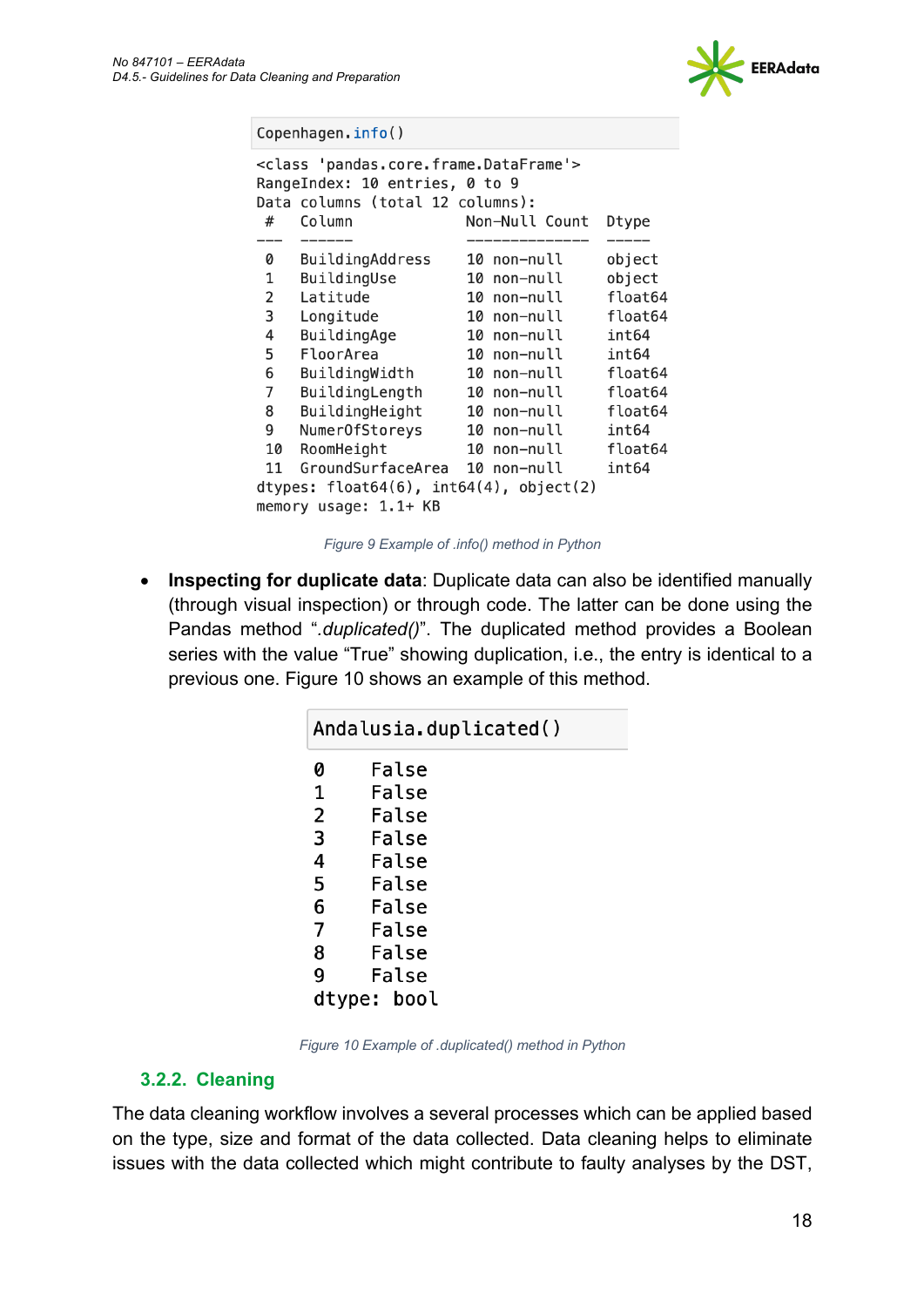

Copenhagen.info() <class 'pandas.core.frame.DataFrame'> RangeIndex: 10 entries, 0 to 9 Data columns (total 12 columns):  $\#$ Column Non-Null Count Dtype 0 BuildingAddress 10 non-null object  $\mathbf{1}$ BuildingUse 10 non-null object  $\overline{2}$ Latitude 10 non-null float64  $\mathsf{3}$ Longitude float64 10 non-null  $\overline{4}$ BuildingAge 10 non-null  $int64$ 5 FloorArea 10 non-null int64 6 BuildingWidth 10 non-null float64  $\overline{7}$ BuildingLength 10 non-null float64 8 float64 BuildingHeight 10 non-null 9 NumerOfStoreys 10 non-null int64 float64 10 RoomHeight 10 non-null GroundSurfaceArea 10 non-null int64 11 dtypes:  $float64(6)$ ,  $int64(4)$ ,  $object(2)$ memory usage: 1.1+ KB

*Figure 9 Example of .info() method in Python*

• **Inspecting for duplicate data**: Duplicate data can also be identified manually (through visual inspection) or through code. The latter can be done using the Pandas method "*.duplicated()*". The duplicated method provides a Boolean series with the value "True" showing duplication, i.e., the entry is identical to a previous one. Figure 10 shows an example of this method.

| Andalusia.duplicated() |             |  |  |
|------------------------|-------------|--|--|
| 0                      | False       |  |  |
| 1                      | False       |  |  |
| 2                      | False       |  |  |
| 3                      | False       |  |  |
| 4                      | False       |  |  |
| 5                      | False       |  |  |
| 6                      | False       |  |  |
| 7                      | False       |  |  |
| 8                      | False       |  |  |
| 9                      | False       |  |  |
|                        | dtype: bool |  |  |

*Figure 10 Example of .duplicated() method in Python*

#### **3.2.2. Cleaning**

The data cleaning workflow involves a several processes which can be applied based on the type, size and format of the data collected. Data cleaning helps to eliminate issues with the data collected which might contribute to faulty analyses by the DST,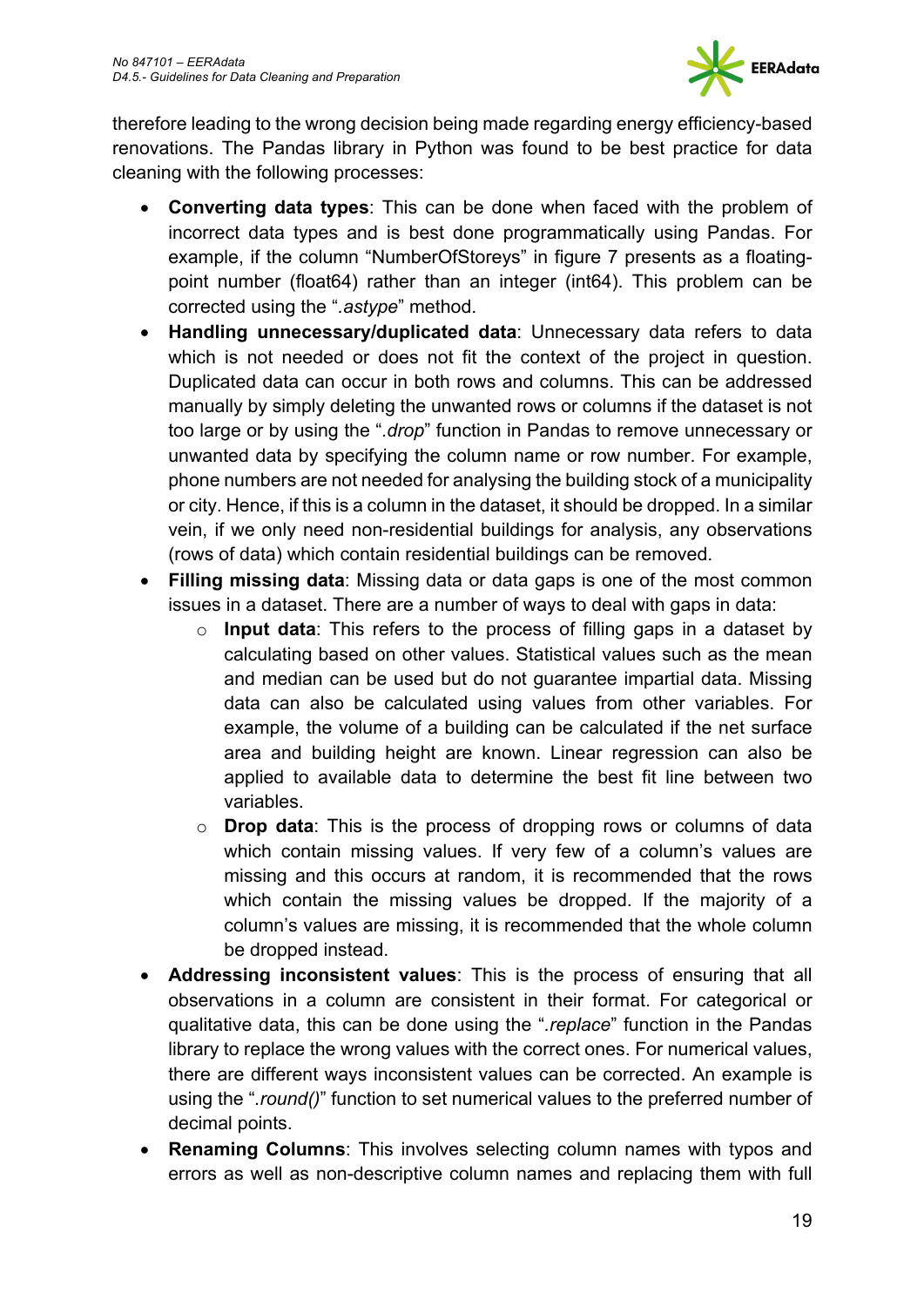

therefore leading to the wrong decision being made regarding energy efficiency-based renovations. The Pandas library in Python was found to be best practice for data cleaning with the following processes:

- **Converting data types**: This can be done when faced with the problem of incorrect data types and is best done programmatically using Pandas. For example, if the column "NumberOfStoreys" in figure 7 presents as a floatingpoint number (float64) rather than an integer (int64). This problem can be corrected using the "*.astype*" method.
- **Handling unnecessary/duplicated data**: Unnecessary data refers to data which is not needed or does not fit the context of the project in question. Duplicated data can occur in both rows and columns. This can be addressed manually by simply deleting the unwanted rows or columns if the dataset is not too large or by using the "*.drop*" function in Pandas to remove unnecessary or unwanted data by specifying the column name or row number. For example, phone numbers are not needed for analysing the building stock of a municipality or city. Hence, if this is a column in the dataset, it should be dropped. In a similar vein, if we only need non-residential buildings for analysis, any observations (rows of data) which contain residential buildings can be removed.
- **Filling missing data**: Missing data or data gaps is one of the most common issues in a dataset. There are a number of ways to deal with gaps in data:
	- o **Input data**: This refers to the process of filling gaps in a dataset by calculating based on other values. Statistical values such as the mean and median can be used but do not guarantee impartial data. Missing data can also be calculated using values from other variables. For example, the volume of a building can be calculated if the net surface area and building height are known. Linear regression can also be applied to available data to determine the best fit line between two variables.
	- o **Drop data**: This is the process of dropping rows or columns of data which contain missing values. If very few of a column's values are missing and this occurs at random, it is recommended that the rows which contain the missing values be dropped. If the majority of a column's values are missing, it is recommended that the whole column be dropped instead.
- **Addressing inconsistent values**: This is the process of ensuring that all observations in a column are consistent in their format. For categorical or qualitative data, this can be done using the "*.replace*" function in the Pandas library to replace the wrong values with the correct ones. For numerical values, there are different ways inconsistent values can be corrected. An example is using the "*.round()*" function to set numerical values to the preferred number of decimal points.
- **Renaming Columns**: This involves selecting column names with typos and errors as well as non-descriptive column names and replacing them with full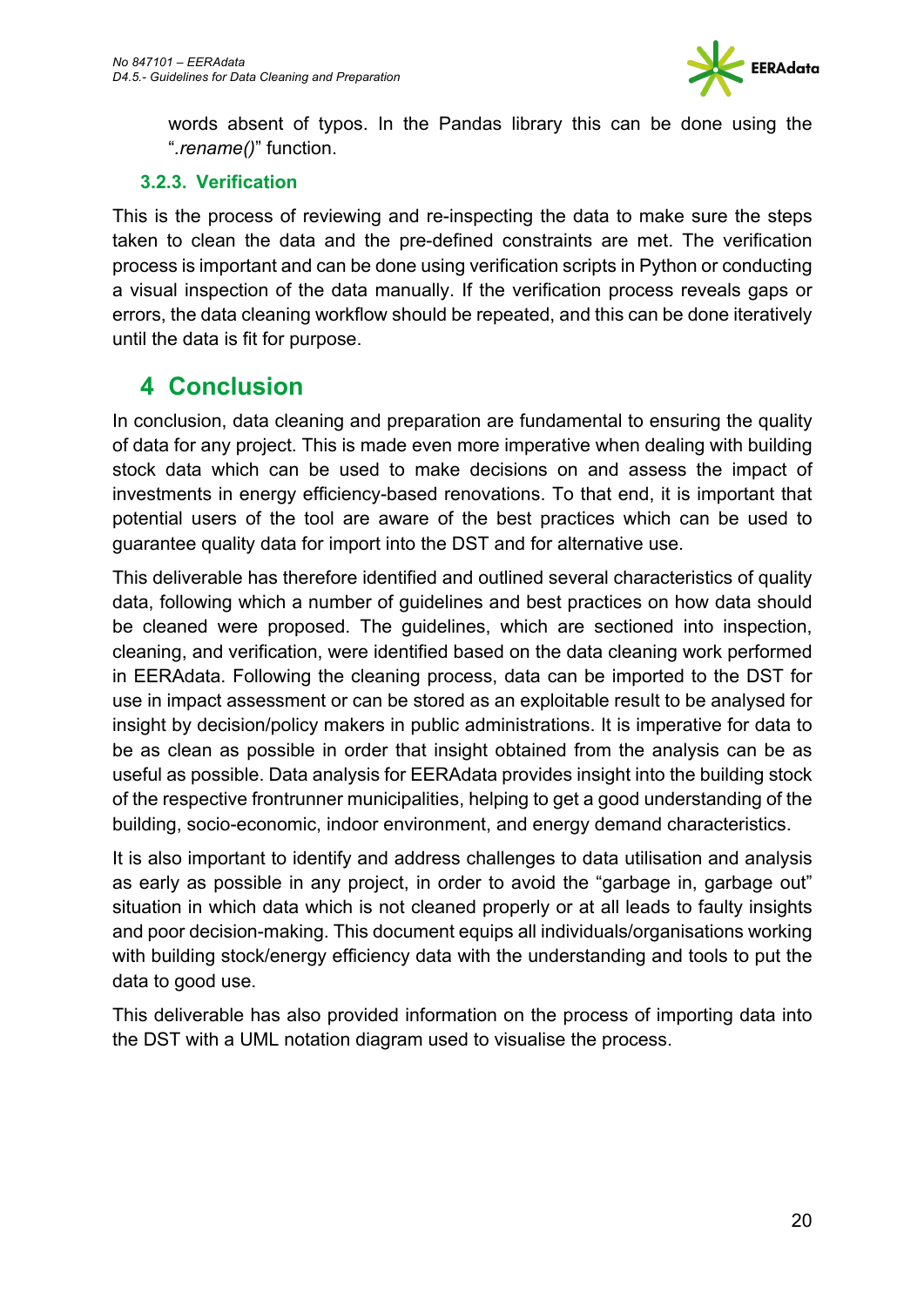

words absent of typos. In the Pandas library this can be done using the "*.rename()*" function.

#### **3.2.3. Verification**

This is the process of reviewing and re-inspecting the data to make sure the steps taken to clean the data and the pre-defined constraints are met. The verification process is important and can be done using verification scripts in Python or conducting a visual inspection of the data manually. If the verification process reveals gaps or errors, the data cleaning workflow should be repeated, and this can be done iteratively until the data is fit for purpose.

## **4 Conclusion**

In conclusion, data cleaning and preparation are fundamental to ensuring the quality of data for any project. This is made even more imperative when dealing with building stock data which can be used to make decisions on and assess the impact of investments in energy efficiency-based renovations. To that end, it is important that potential users of the tool are aware of the best practices which can be used to guarantee quality data for import into the DST and for alternative use.

This deliverable has therefore identified and outlined several characteristics of quality data, following which a number of guidelines and best practices on how data should be cleaned were proposed. The guidelines, which are sectioned into inspection, cleaning, and verification, were identified based on the data cleaning work performed in EERAdata. Following the cleaning process, data can be imported to the DST for use in impact assessment or can be stored as an exploitable result to be analysed for insight by decision/policy makers in public administrations. It is imperative for data to be as clean as possible in order that insight obtained from the analysis can be as useful as possible. Data analysis for EERAdata provides insight into the building stock of the respective frontrunner municipalities, helping to get a good understanding of the building, socio-economic, indoor environment, and energy demand characteristics.

It is also important to identify and address challenges to data utilisation and analysis as early as possible in any project, in order to avoid the "garbage in, garbage out" situation in which data which is not cleaned properly or at all leads to faulty insights and poor decision-making. This document equips all individuals/organisations working with building stock/energy efficiency data with the understanding and tools to put the data to good use.

This deliverable has also provided information on the process of importing data into the DST with a UML notation diagram used to visualise the process.